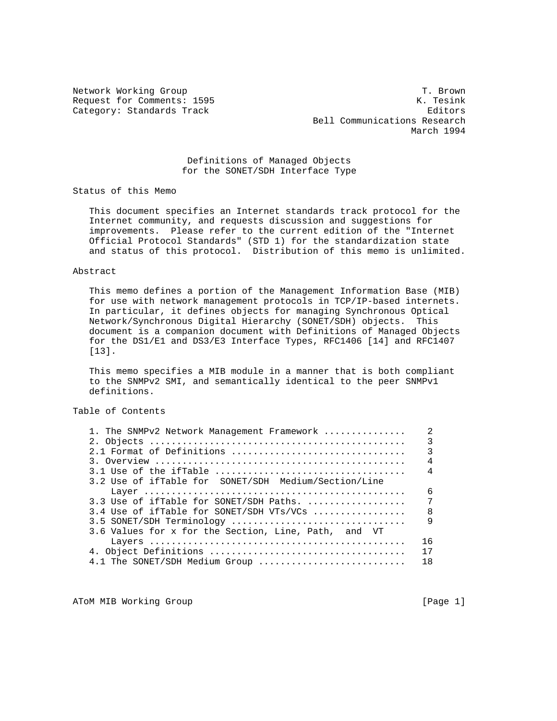Network Working Group T. Brown Request for Comments: 1595 K. Tesink Category: Standards Track Editors Editors Editors Bell Communications Research March 1994

## Definitions of Managed Objects for the SONET/SDH Interface Type

Status of this Memo

 This document specifies an Internet standards track protocol for the Internet community, and requests discussion and suggestions for improvements. Please refer to the current edition of the "Internet Official Protocol Standards" (STD 1) for the standardization state and status of this protocol. Distribution of this memo is unlimited.

#### Abstract

 This memo defines a portion of the Management Information Base (MIB) for use with network management protocols in TCP/IP-based internets. In particular, it defines objects for managing Synchronous Optical Network/Synchronous Digital Hierarchy (SONET/SDH) objects. This document is a companion document with Definitions of Managed Objects for the DS1/E1 and DS3/E3 Interface Types, RFC1406 [14] and RFC1407 [13].

 This memo specifies a MIB module in a manner that is both compliant to the SNMPv2 SMI, and semantically identical to the peer SNMPv1 definitions.

# Table of Contents

| 1. The SNMPv2 Network Management Framework           | $\mathfrak{D}$ |
|------------------------------------------------------|----------------|
|                                                      | ζ              |
| $2.1$ Format of Definitions                          | 3              |
|                                                      | $\overline{4}$ |
|                                                      | 4              |
| 3.2 Use of ifTable for SONET/SDH Medium/Section/Line |                |
|                                                      | 6              |
| 3.3 Use of if Table for SONET/SDH Paths.             | 7              |
| 3.4 Use of if Table for SONET/SDH VTs/VCs            | $\mathsf{R}$   |
| 3.5 SONET/SDH Terminology                            | $\mathsf{Q}$   |
| 3.6 Values for x for the Section, Line, Path, and VT |                |
|                                                      | 16             |
|                                                      | 17             |
| 4.1 The SONET/SDH Medium Group                       | 18             |
|                                                      |                |

ATOM MIB Working Group and the set of the contract of the contract of the contract of the contract of the contract of the contract of the contract of the contract of the contract of the contract of the contract of the cont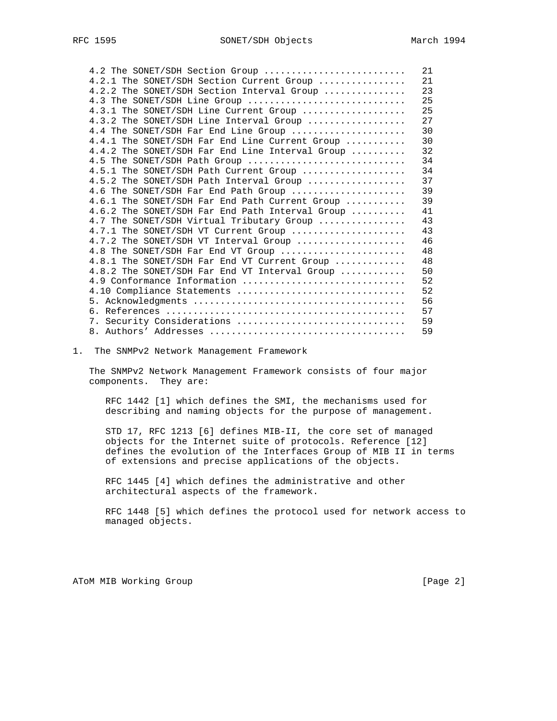| 4.2 The SONET/SDH Section Group                 | 21 |
|-------------------------------------------------|----|
| 4.2.1 The SONET/SDH Section Current Group       | 21 |
| 4.2.2 The SONET/SDH Section Interval Group      | 23 |
| 4.3 The SONET/SDH Line Group                    | 25 |
| 4.3.1 The SONET/SDH Line Current Group          | 25 |
| 4.3.2 The SONET/SDH Line Interval Group         | 27 |
| 4.4 The SONET/SDH Far End Line Group            | 30 |
| 4.4.1 The SONET/SDH Far End Line Current Group  | 30 |
| 4.4.2 The SONET/SDH Far End Line Interval Group | 32 |
| 4.5 The SONET/SDH Path Group                    | 34 |
| 4.5.1 The SONET/SDH Path Current Group          | 34 |
| 4.5.2 The SONET/SDH Path Interval Group         | 37 |
| 4.6 The SONET/SDH Far End Path Group            | 39 |
| 4.6.1 The SONET/SDH Far End Path Current Group  | 39 |
| 4.6.2 The SONET/SDH Far End Path Interval Group | 41 |
| 4.7 The SONET/SDH Virtual Tributary Group       | 43 |
| 4.7.1 The SONET/SDH VT Current Group            | 43 |
| 4.7.2 The SONET/SDH VT Interval Group           | 46 |
| 4.8 The SONET/SDH Far End VT Group              | 48 |
| 4.8.1 The SONET/SDH Far End VT Current Group    | 48 |
| 4.8.2 The SONET/SDH Far End VT Interval Group   | 50 |
| 4.9 Conformance Information                     | 52 |
| 4.10 Compliance Statements                      | 52 |
|                                                 | 56 |
|                                                 | 57 |
| 7. Security Considerations                      | 59 |
|                                                 | 59 |

#### 1. The SNMPv2 Network Management Framework

 The SNMPv2 Network Management Framework consists of four major components. They are:

 RFC 1442 [1] which defines the SMI, the mechanisms used for describing and naming objects for the purpose of management.

 STD 17, RFC 1213 [6] defines MIB-II, the core set of managed objects for the Internet suite of protocols. Reference [12] defines the evolution of the Interfaces Group of MIB II in terms of extensions and precise applications of the objects.

 RFC 1445 [4] which defines the administrative and other architectural aspects of the framework.

 RFC 1448 [5] which defines the protocol used for network access to managed objects.

ATOM MIB Working Group and the set of the set of the set of the set of the set of the set of the set of the set of the set of the set of the set of the set of the set of the set of the set of the set of the set of the set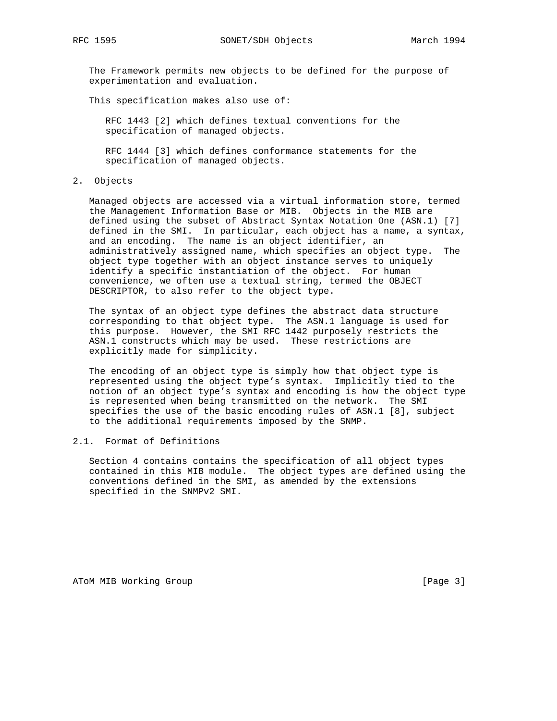RFC 1595 SONET/SDH Objects March 1994

 The Framework permits new objects to be defined for the purpose of experimentation and evaluation.

This specification makes also use of:

 RFC 1443 [2] which defines textual conventions for the specification of managed objects.

 RFC 1444 [3] which defines conformance statements for the specification of managed objects.

2. Objects

 Managed objects are accessed via a virtual information store, termed the Management Information Base or MIB. Objects in the MIB are defined using the subset of Abstract Syntax Notation One (ASN.1) [7] defined in the SMI. In particular, each object has a name, a syntax, and an encoding. The name is an object identifier, an administratively assigned name, which specifies an object type. The object type together with an object instance serves to uniquely identify a specific instantiation of the object. For human convenience, we often use a textual string, termed the OBJECT DESCRIPTOR, to also refer to the object type.

 The syntax of an object type defines the abstract data structure corresponding to that object type. The ASN.1 language is used for this purpose. However, the SMI RFC 1442 purposely restricts the ASN.1 constructs which may be used. These restrictions are explicitly made for simplicity.

 The encoding of an object type is simply how that object type is represented using the object type's syntax. Implicitly tied to the notion of an object type's syntax and encoding is how the object type is represented when being transmitted on the network. The SMI specifies the use of the basic encoding rules of ASN.1 [8], subject to the additional requirements imposed by the SNMP.

### 2.1. Format of Definitions

 Section 4 contains contains the specification of all object types contained in this MIB module. The object types are defined using the conventions defined in the SMI, as amended by the extensions specified in the SNMPv2 SMI.

ATOM MIB Working Group **Example 20** and the set of the set of the set of the set of the set of the set of the set of the set of the set of the set of the set of the set of the set of the set of the set of the set of the se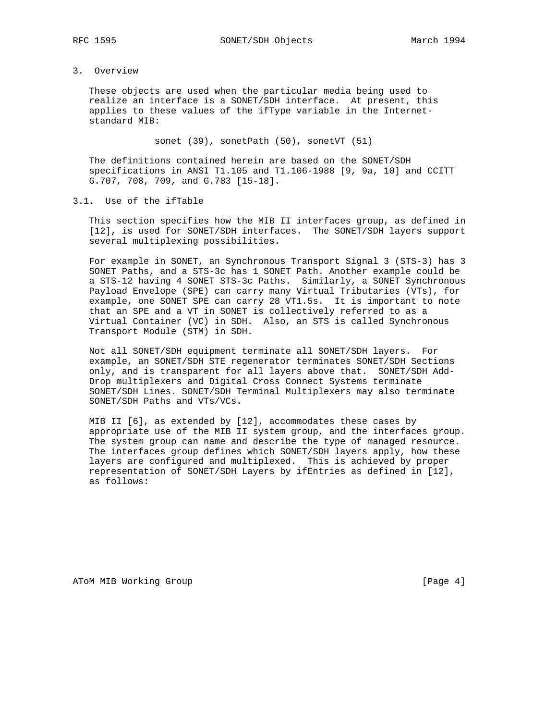# 3. Overview

 These objects are used when the particular media being used to realize an interface is a SONET/SDH interface. At present, this applies to these values of the ifType variable in the Internet standard MIB:

sonet (39), sonetPath (50), sonetVT (51)

 The definitions contained herein are based on the SONET/SDH specifications in ANSI T1.105 and T1.106-1988 [9, 9a, 10] and CCITT G.707, 708, 709, and G.783 [15-18].

### 3.1. Use of the ifTable

 This section specifies how the MIB II interfaces group, as defined in [12], is used for SONET/SDH interfaces. The SONET/SDH layers support several multiplexing possibilities.

 For example in SONET, an Synchronous Transport Signal 3 (STS-3) has 3 SONET Paths, and a STS-3c has 1 SONET Path. Another example could be a STS-12 having 4 SONET STS-3c Paths. Similarly, a SONET Synchronous Payload Envelope (SPE) can carry many Virtual Tributaries (VTs), for example, one SONET SPE can carry 28 VT1.5s. It is important to note that an SPE and a VT in SONET is collectively referred to as a Virtual Container (VC) in SDH. Also, an STS is called Synchronous Transport Module (STM) in SDH.

 Not all SONET/SDH equipment terminate all SONET/SDH layers. For example, an SONET/SDH STE regenerator terminates SONET/SDH Sections only, and is transparent for all layers above that. SONET/SDH Add- Drop multiplexers and Digital Cross Connect Systems terminate SONET/SDH Lines. SONET/SDH Terminal Multiplexers may also terminate SONET/SDH Paths and VTs/VCs.

 MIB II [6], as extended by [12], accommodates these cases by appropriate use of the MIB II system group, and the interfaces group. The system group can name and describe the type of managed resource. The interfaces group defines which SONET/SDH layers apply, how these layers are configured and multiplexed. This is achieved by proper representation of SONET/SDH Layers by ifEntries as defined in [12], as follows:

ATOM MIB Working Group and the set of the set of the set of the set of the set of the set of the set of the set of the set of the set of the set of the set of the set of the set of the set of the set of the set of the set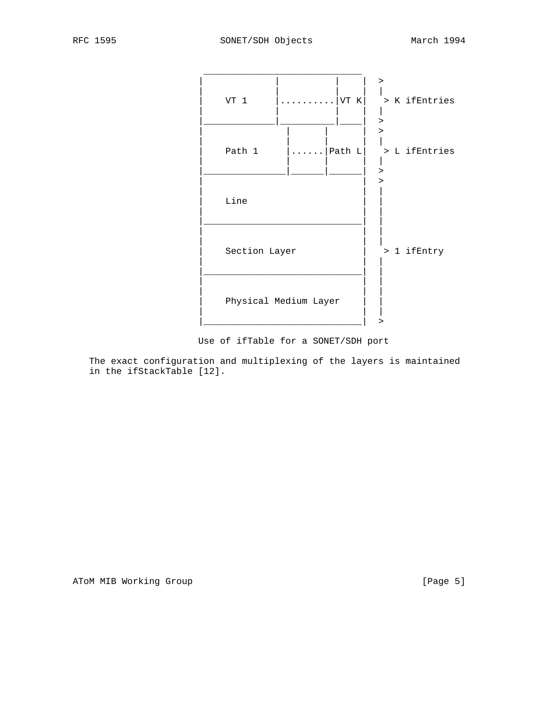

Use of ifTable for a SONET/SDH port

 The exact configuration and multiplexing of the layers is maintained in the ifStackTable [12].

ATOM MIB Working Group and the set of the contract of the set of the set of the set of the set of the set of the set of the set of the set of the set of the set of the set of the set of the set of the set of the set of the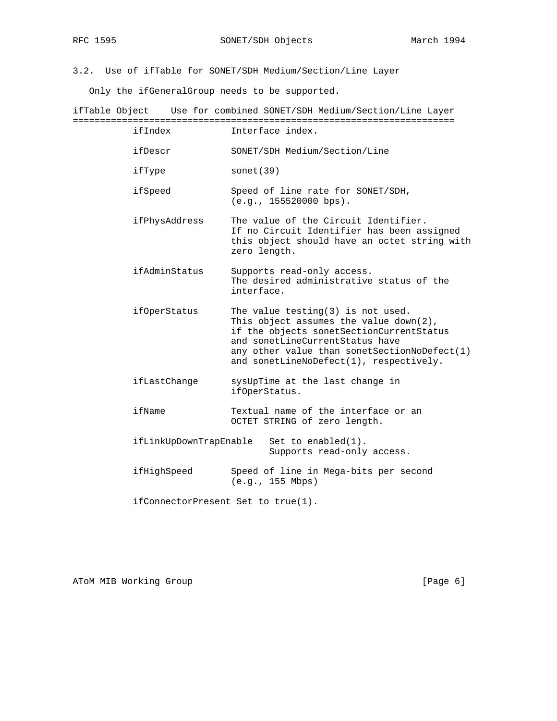3.2. Use of ifTable for SONET/SDH Medium/Section/Line Layer

Only the ifGeneralGroup needs to be supported.

ifTable Object Use for combined SONET/SDH Medium/Section/Line Layer ====================================================================== ifIndex Interface index.

- ifDescr SONET/SDH Medium/Section/Line
- ifType sonet(39)

 ifSpeed Speed of line rate for SONET/SDH, (e.g., 155520000 bps).

- ifPhysAddress The value of the Circuit Identifier. If no Circuit Identifier has been assigned this object should have an octet string with zero length.
- ifAdminStatus Supports read-only access. The desired administrative status of the interface.
- ifOperStatus The value testing(3) is not used. This object assumes the value down(2), if the objects sonetSectionCurrentStatus and sonetLineCurrentStatus have any other value than sonetSectionNoDefect(1) and sonetLineNoDefect(1), respectively.
- ifLastChange sysUpTime at the last change in ifOperStatus.
- ifName Textual name of the interface or an OCTET STRING of zero length.
- ifLinkUpDownTrapEnable Set to enabled(1). Supports read-only access.
- ifHighSpeed Speed of line in Mega-bits per second (e.g., 155 Mbps)

ifConnectorPresent Set to true(1).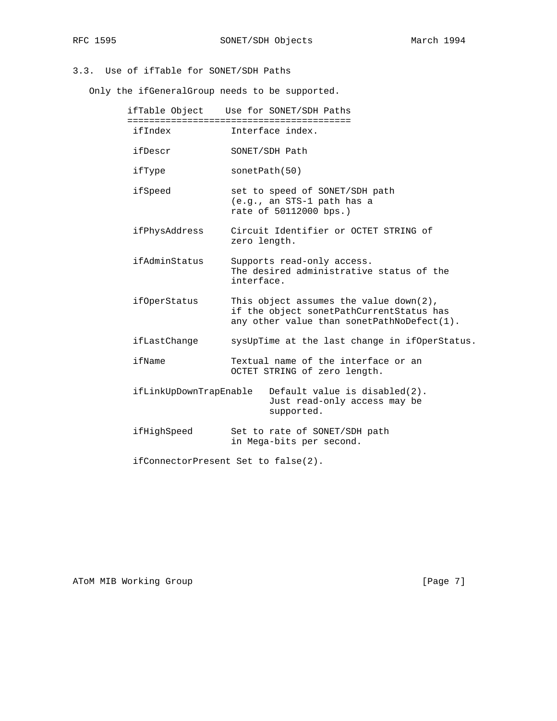# 3.3. Use of ifTable for SONET/SDH Paths

Only the ifGeneralGroup needs to be supported.

|                        | ifTable Object Use for SONET/SDH Paths                                                                                              |
|------------------------|-------------------------------------------------------------------------------------------------------------------------------------|
| ifIndex                | Interface index.                                                                                                                    |
| ifDescr                | SONET/SDH Path                                                                                                                      |
| ifType                 | sonetPath(50)                                                                                                                       |
| ifSpeed                | set to speed of SONET/SDH path<br>(e.g., an STS-1 path has a<br>rate of 50112000 bps.)                                              |
| ifPhysAddress          | Circuit Identifier or OCTET STRING of<br>zero length.                                                                               |
| ifAdminStatus          | Supports read-only access.<br>The desired administrative status of the<br>interface.                                                |
| <i>ifOperStatus</i>    | This object assumes the value $down(2)$ ,<br>if the object sonetPathCurrentStatus has<br>any other value than sonetPathNoDefect(1). |
| ifLastChange           | sysUpTime at the last change in ifOperStatus.                                                                                       |
| ifName                 | Textual name of the interface or an<br>OCTET STRING of zero length.                                                                 |
| ifLinkUpDownTrapEnable | Default value is disabled(2).<br>Just read-only access may be<br>supported.                                                         |
| ifHighSpeed            | Set to rate of SONET/SDH path<br>in Mega-bits per second.                                                                           |
|                        | ifConnectorPresent Set to false(2).                                                                                                 |

ATOM MIB Working Group **and Community** [Page 7]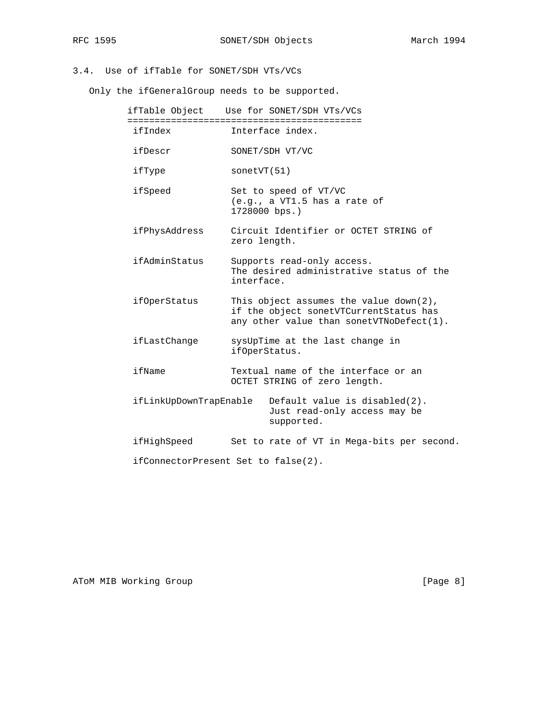# 3.4. Use of ifTable for SONET/SDH VTs/VCs

Only the ifGeneralGroup needs to be supported.

|                        | ifTable Object Use for SONET/SDH VTs/VCs                                                                                        |
|------------------------|---------------------------------------------------------------------------------------------------------------------------------|
| ifIndex                | Interface index.                                                                                                                |
| ifDescr                | SONET/SDH VT/VC                                                                                                                 |
| ifType                 | sortVT(51)                                                                                                                      |
| ifSpeed                | Set to speed of VT/VC<br>(e.g., a VT1.5 has a rate of<br>1728000 bps.)                                                          |
| ifPhysAddress          | Circuit Identifier or OCTET STRING of<br>zero length.                                                                           |
| ifAdminStatus          | Supports read-only access.<br>The desired administrative status of the<br>interface.                                            |
| ifOperStatus           | This object assumes the value $down(2)$ ,<br>if the object sonetVTCurrentStatus has<br>any other value than sonetVTNoDefect(1). |
| ifLastChange           | sysUpTime at the last change in<br>ifOperStatus.                                                                                |
| ifName                 | Textual name of the interface or an<br>OCTET STRING of zero length.                                                             |
| ifLinkUpDownTrapEnable | Default value is disabled(2).<br>Just read-only access may be<br>supported.                                                     |
| ifHighSpeed            | Set to rate of VT in Mega-bits per second.                                                                                      |
|                        | ifConnectorPresent Set to false(2).                                                                                             |

ATOM MIB Working Group and the set of the set of the set of the set of the set of the set of the set of the set of the set of the set of the set of the set of the set of the set of the set of the set of the set of the set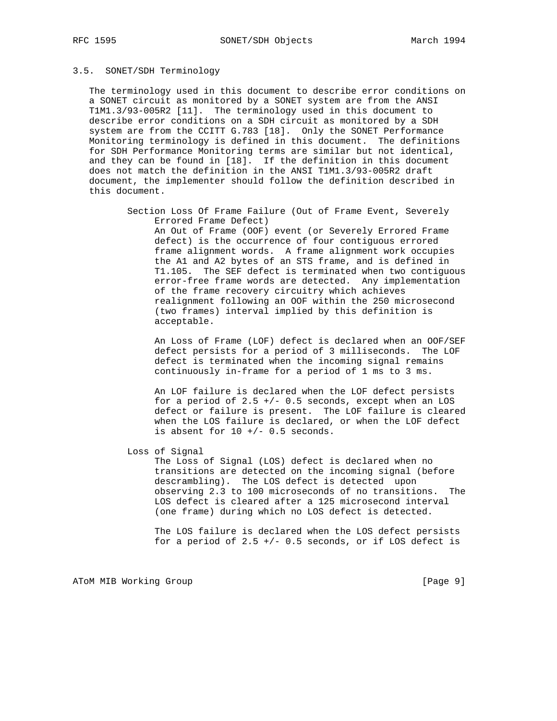# 3.5. SONET/SDH Terminology

 The terminology used in this document to describe error conditions on a SONET circuit as monitored by a SONET system are from the ANSI T1M1.3/93-005R2 [11]. The terminology used in this document to describe error conditions on a SDH circuit as monitored by a SDH system are from the CCITT G.783 [18]. Only the SONET Performance Monitoring terminology is defined in this document. The definitions for SDH Performance Monitoring terms are similar but not identical, and they can be found in [18]. If the definition in this document does not match the definition in the ANSI T1M1.3/93-005R2 draft document, the implementer should follow the definition described in this document.

 Section Loss Of Frame Failure (Out of Frame Event, Severely Errored Frame Defect)

 An Out of Frame (OOF) event (or Severely Errored Frame defect) is the occurrence of four contiguous errored frame alignment words. A frame alignment work occupies the A1 and A2 bytes of an STS frame, and is defined in T1.105. The SEF defect is terminated when two contiguous error-free frame words are detected. Any implementation of the frame recovery circuitry which achieves realignment following an OOF within the 250 microsecond (two frames) interval implied by this definition is acceptable.

 An Loss of Frame (LOF) defect is declared when an OOF/SEF defect persists for a period of 3 milliseconds. The LOF defect is terminated when the incoming signal remains continuously in-frame for a period of 1 ms to 3 ms.

 An LOF failure is declared when the LOF defect persists for a period of  $2.5$  +/- 0.5 seconds, except when an LOS defect or failure is present. The LOF failure is cleared when the LOS failure is declared, or when the LOF defect is absent for  $10 +/- 0.5$  seconds.

Loss of Signal

 The Loss of Signal (LOS) defect is declared when no transitions are detected on the incoming signal (before descrambling). The LOS defect is detected upon observing 2.3 to 100 microseconds of no transitions. The LOS defect is cleared after a 125 microsecond interval (one frame) during which no LOS defect is detected.

 The LOS failure is declared when the LOS defect persists for a period of  $2.5$  +/- 0.5 seconds, or if LOS defect is

ATOM MIB Working Group **Example 2018** [Page 9]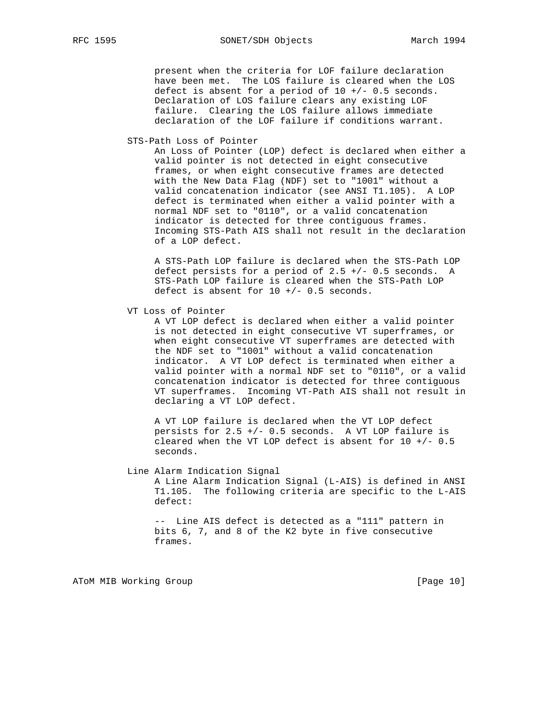present when the criteria for LOF failure declaration have been met. The LOS failure is cleared when the LOS defect is absent for a period of  $10 +/- 0.5$  seconds. Declaration of LOS failure clears any existing LOF failure. Clearing the LOS failure allows immediate declaration of the LOF failure if conditions warrant.

STS-Path Loss of Pointer

 An Loss of Pointer (LOP) defect is declared when either a valid pointer is not detected in eight consecutive frames, or when eight consecutive frames are detected with the New Data Flag (NDF) set to "1001" without a valid concatenation indicator (see ANSI T1.105). A LOP defect is terminated when either a valid pointer with a normal NDF set to "0110", or a valid concatenation indicator is detected for three contiguous frames. Incoming STS-Path AIS shall not result in the declaration of a LOP defect.

 A STS-Path LOP failure is declared when the STS-Path LOP defect persists for a period of  $2.5$  +/- 0.5 seconds. A STS-Path LOP failure is cleared when the STS-Path LOP defect is absent for  $10 +/- 0.5$  seconds.

VT Loss of Pointer

 A VT LOP defect is declared when either a valid pointer is not detected in eight consecutive VT superframes, or when eight consecutive VT superframes are detected with the NDF set to "1001" without a valid concatenation indicator. A VT LOP defect is terminated when either a valid pointer with a normal NDF set to "0110", or a valid concatenation indicator is detected for three contiguous VT superframes. Incoming VT-Path AIS shall not result in declaring a VT LOP defect.

 A VT LOP failure is declared when the VT LOP defect persists for 2.5 +/- 0.5 seconds. A VT LOP failure is cleared when the VT LOP defect is absent for  $10 +/- 0.5$ seconds.

#### Line Alarm Indication Signal

 A Line Alarm Indication Signal (L-AIS) is defined in ANSI T1.105. The following criteria are specific to the L-AIS defect:

 -- Line AIS defect is detected as a "111" pattern in bits 6, 7, and 8 of the K2 byte in five consecutive frames.

ATOM MIB Working Group **and Community** [Page 10]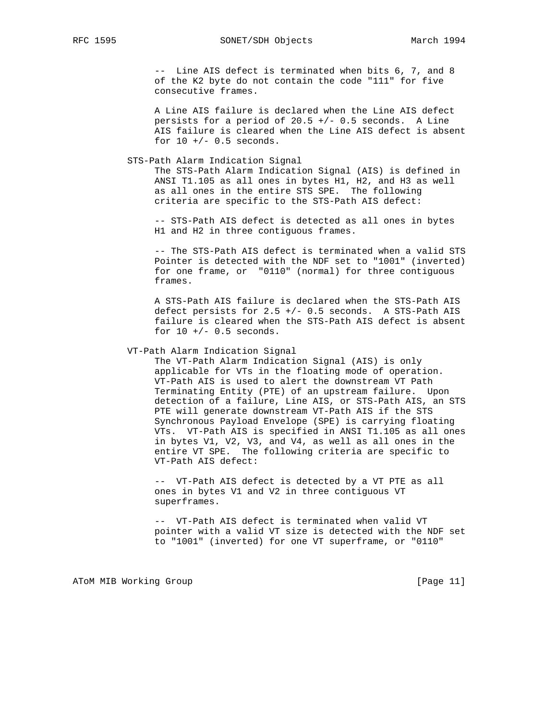-- Line AIS defect is terminated when bits 6, 7, and 8 of the K2 byte do not contain the code "111" for five consecutive frames.

 A Line AIS failure is declared when the Line AIS defect persists for a period of  $20.5$  +/- 0.5 seconds. A Line AIS failure is cleared when the Line AIS defect is absent for  $10 +/- 0.5$  seconds.

STS-Path Alarm Indication Signal

 The STS-Path Alarm Indication Signal (AIS) is defined in ANSI T1.105 as all ones in bytes H1, H2, and H3 as well as all ones in the entire STS SPE. The following criteria are specific to the STS-Path AIS defect:

 -- STS-Path AIS defect is detected as all ones in bytes H1 and H2 in three contiguous frames.

 -- The STS-Path AIS defect is terminated when a valid STS Pointer is detected with the NDF set to "1001" (inverted) for one frame, or "0110" (normal) for three contiguous frames.

 A STS-Path AIS failure is declared when the STS-Path AIS defect persists for 2.5 +/- 0.5 seconds. A STS-Path AIS failure is cleared when the STS-Path AIS defect is absent for  $10 +/- 0.5$  seconds.

#### VT-Path Alarm Indication Signal

 The VT-Path Alarm Indication Signal (AIS) is only applicable for VTs in the floating mode of operation. VT-Path AIS is used to alert the downstream VT Path Terminating Entity (PTE) of an upstream failure. Upon detection of a failure, Line AIS, or STS-Path AIS, an STS PTE will generate downstream VT-Path AIS if the STS Synchronous Payload Envelope (SPE) is carrying floating VTs. VT-Path AIS is specified in ANSI T1.105 as all ones in bytes V1, V2, V3, and V4, as well as all ones in the entire VT SPE. The following criteria are specific to VT-Path AIS defect:

 -- VT-Path AIS defect is detected by a VT PTE as all ones in bytes V1 and V2 in three contiguous VT superframes.

 -- VT-Path AIS defect is terminated when valid VT pointer with a valid VT size is detected with the NDF set to "1001" (inverted) for one VT superframe, or "0110"

ATOM MIB Working Group and the set of the set of the set of the set of the set of the set of the set of the set of the set of the set of the set of the set of the set of the set of the set of the set of the set of the set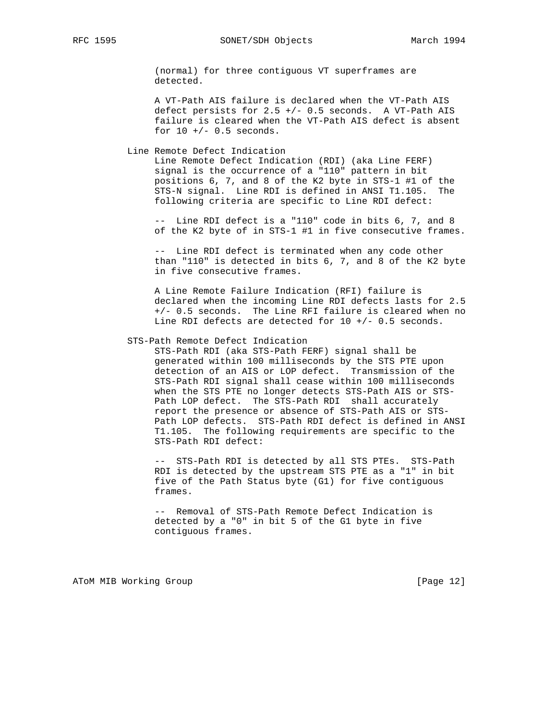(normal) for three contiguous VT superframes are detected.

 A VT-Path AIS failure is declared when the VT-Path AIS defect persists for 2.5 +/- 0.5 seconds. A VT-Path AIS failure is cleared when the VT-Path AIS defect is absent for  $10 +/- 0.5$  seconds.

Line Remote Defect Indication

 Line Remote Defect Indication (RDI) (aka Line FERF) signal is the occurrence of a "110" pattern in bit positions 6, 7, and 8 of the K2 byte in STS-1 #1 of the STS-N signal. Line RDI is defined in ANSI T1.105. The following criteria are specific to Line RDI defect:

 -- Line RDI defect is a "110" code in bits 6, 7, and 8 of the K2 byte of in STS-1 #1 in five consecutive frames.

 -- Line RDI defect is terminated when any code other than "110" is detected in bits 6, 7, and 8 of the K2 byte in five consecutive frames.

 A Line Remote Failure Indication (RFI) failure is declared when the incoming Line RDI defects lasts for 2.5 +/- 0.5 seconds. The Line RFI failure is cleared when no Line RDI defects are detected for 10 +/- 0.5 seconds.

#### STS-Path Remote Defect Indication

 STS-Path RDI (aka STS-Path FERF) signal shall be generated within 100 milliseconds by the STS PTE upon detection of an AIS or LOP defect. Transmission of the STS-Path RDI signal shall cease within 100 milliseconds when the STS PTE no longer detects STS-Path AIS or STS- Path LOP defect. The STS-Path RDI shall accurately report the presence or absence of STS-Path AIS or STS- Path LOP defects. STS-Path RDI defect is defined in ANSI T1.105. The following requirements are specific to the STS-Path RDI defect:

 -- STS-Path RDI is detected by all STS PTEs. STS-Path RDI is detected by the upstream STS PTE as a "1" in bit five of the Path Status byte (G1) for five contiguous frames.

 -- Removal of STS-Path Remote Defect Indication is detected by a "0" in bit 5 of the G1 byte in five contiguous frames.

ATOM MIB Working Group **by the contract of the Contract of Contract Contract of Contract Contract Contract Oriental**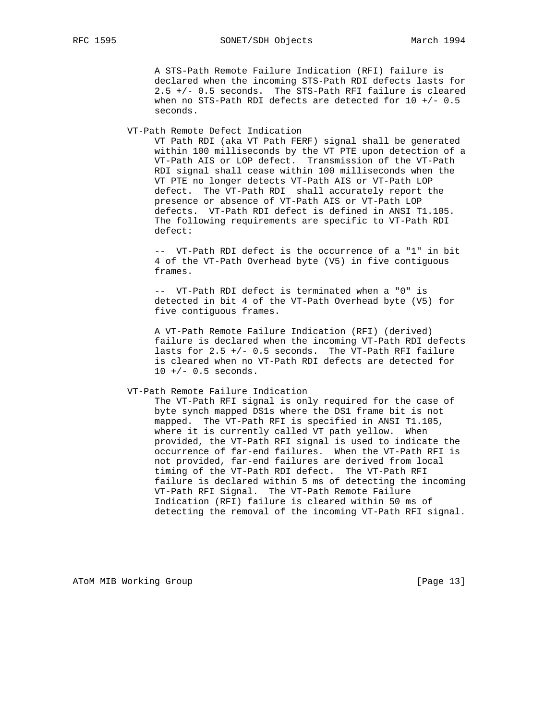A STS-Path Remote Failure Indication (RFI) failure is declared when the incoming STS-Path RDI defects lasts for 2.5 +/- 0.5 seconds. The STS-Path RFI failure is cleared when no STS-Path RDI defects are detected for  $10 +/- 0.5$ seconds.

VT-Path Remote Defect Indication

 VT Path RDI (aka VT Path FERF) signal shall be generated within 100 milliseconds by the VT PTE upon detection of a VT-Path AIS or LOP defect. Transmission of the VT-Path RDI signal shall cease within 100 milliseconds when the VT PTE no longer detects VT-Path AIS or VT-Path LOP defect. The VT-Path RDI shall accurately report the presence or absence of VT-Path AIS or VT-Path LOP defects. VT-Path RDI defect is defined in ANSI T1.105. The following requirements are specific to VT-Path RDI defect:

 -- VT-Path RDI defect is the occurrence of a "1" in bit 4 of the VT-Path Overhead byte (V5) in five contiguous frames.

 -- VT-Path RDI defect is terminated when a "0" is detected in bit 4 of the VT-Path Overhead byte (V5) for five contiguous frames.

 A VT-Path Remote Failure Indication (RFI) (derived) failure is declared when the incoming VT-Path RDI defects lasts for 2.5 +/- 0.5 seconds. The VT-Path RFI failure is cleared when no VT-Path RDI defects are detected for  $10 +/- 0.5$  seconds.

#### VT-Path Remote Failure Indication

 The VT-Path RFI signal is only required for the case of byte synch mapped DS1s where the DS1 frame bit is not mapped. The VT-Path RFI is specified in ANSI T1.105, where it is currently called VT path yellow. When provided, the VT-Path RFI signal is used to indicate the occurrence of far-end failures. When the VT-Path RFI is not provided, far-end failures are derived from local timing of the VT-Path RDI defect. The VT-Path RFI failure is declared within 5 ms of detecting the incoming VT-Path RFI Signal. The VT-Path Remote Failure Indication (RFI) failure is cleared within 50 ms of detecting the removal of the incoming VT-Path RFI signal.

ATOM MIB Working Group **Example 2018** [Page 13]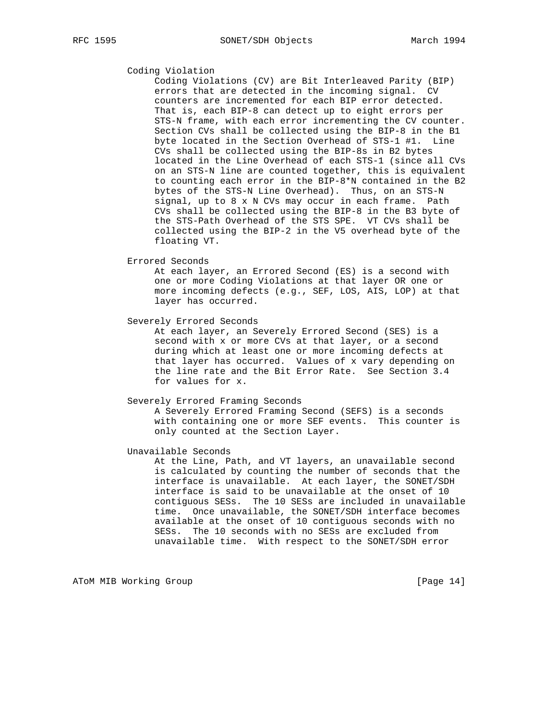## Coding Violation

 Coding Violations (CV) are Bit Interleaved Parity (BIP) errors that are detected in the incoming signal. CV counters are incremented for each BIP error detected. That is, each BIP-8 can detect up to eight errors per STS-N frame, with each error incrementing the CV counter. Section CVs shall be collected using the BIP-8 in the B1 byte located in the Section Overhead of STS-1 #1. Line CVs shall be collected using the BIP-8s in B2 bytes located in the Line Overhead of each STS-1 (since all CVs on an STS-N line are counted together, this is equivalent to counting each error in the BIP-8\*N contained in the B2 bytes of the STS-N Line Overhead). Thus, on an STS-N signal, up to 8 x N CVs may occur in each frame. Path CVs shall be collected using the BIP-8 in the B3 byte of the STS-Path Overhead of the STS SPE. VT CVs shall be collected using the BIP-2 in the V5 overhead byte of the floating VT.

#### Errored Seconds

 At each layer, an Errored Second (ES) is a second with one or more Coding Violations at that layer OR one or more incoming defects (e.g., SEF, LOS, AIS, LOP) at that layer has occurred.

#### Severely Errored Seconds

 At each layer, an Severely Errored Second (SES) is a second with x or more CVs at that layer, or a second during which at least one or more incoming defects at that layer has occurred. Values of x vary depending on the line rate and the Bit Error Rate. See Section 3.4 for values for x.

#### Severely Errored Framing Seconds

 A Severely Errored Framing Second (SEFS) is a seconds with containing one or more SEF events. This counter is only counted at the Section Layer.

### Unavailable Seconds

 At the Line, Path, and VT layers, an unavailable second is calculated by counting the number of seconds that the interface is unavailable. At each layer, the SONET/SDH interface is said to be unavailable at the onset of 10 contiguous SESs. The 10 SESs are included in unavailable time. Once unavailable, the SONET/SDH interface becomes available at the onset of 10 contiguous seconds with no SESs. The 10 seconds with no SESs are excluded from unavailable time. With respect to the SONET/SDH error

ATOM MIB Working Group **and Community** [Page 14]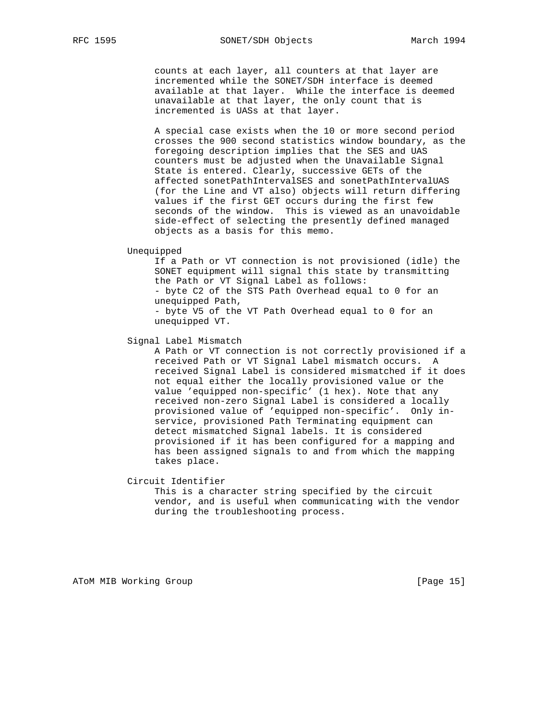counts at each layer, all counters at that layer are incremented while the SONET/SDH interface is deemed available at that layer. While the interface is deemed unavailable at that layer, the only count that is incremented is UASs at that layer.

 A special case exists when the 10 or more second period crosses the 900 second statistics window boundary, as the foregoing description implies that the SES and UAS counters must be adjusted when the Unavailable Signal State is entered. Clearly, successive GETs of the affected sonetPathIntervalSES and sonetPathIntervalUAS (for the Line and VT also) objects will return differing values if the first GET occurs during the first few seconds of the window. This is viewed as an unavoidable side-effect of selecting the presently defined managed objects as a basis for this memo.

#### Unequipped

 If a Path or VT connection is not provisioned (idle) the SONET equipment will signal this state by transmitting the Path or VT Signal Label as follows: - byte C2 of the STS Path Overhead equal to 0 for an unequipped Path, - byte V5 of the VT Path Overhead equal to 0 for an

unequipped VT.

Signal Label Mismatch

 A Path or VT connection is not correctly provisioned if a received Path or VT Signal Label mismatch occurs. A received Signal Label is considered mismatched if it does not equal either the locally provisioned value or the value 'equipped non-specific' (1 hex). Note that any received non-zero Signal Label is considered a locally provisioned value of 'equipped non-specific'. Only in service, provisioned Path Terminating equipment can detect mismatched Signal labels. It is considered provisioned if it has been configured for a mapping and has been assigned signals to and from which the mapping takes place.

Circuit Identifier

 This is a character string specified by the circuit vendor, and is useful when communicating with the vendor during the troubleshooting process.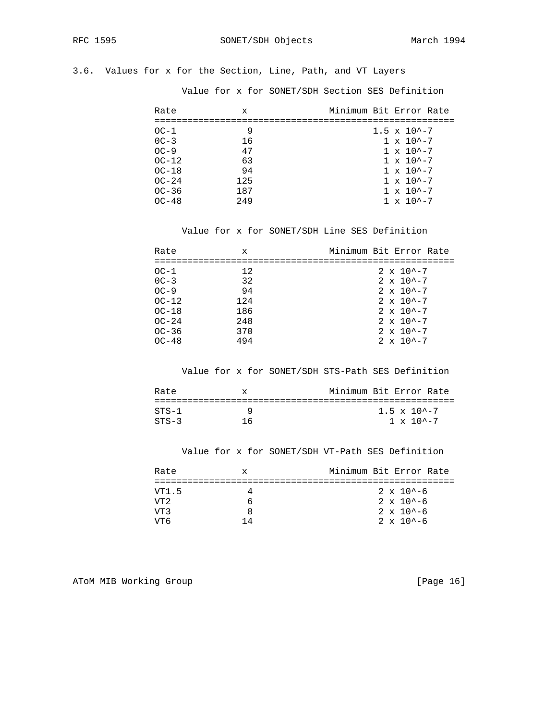# 3.6. Values for x for the Section, Line, Path, and VT Layers

Value for x for SONET/SDH Section SES Definition

| Rate    | X   | Minimum Bit Error Rate  |
|---------|-----|-------------------------|
|         |     |                         |
| $OC-1$  | 9   | $1.5 \times 10^{2} - 7$ |
| $OC-3$  | 16  | $1 \times 10^{4} - 7$   |
| $OC-9$  | 47  | $1 \times 10^{2} - 7$   |
| $OC-12$ | 63  | $1 \times 10^{(-7)}$    |
| $OC-18$ | 94  | $1 \times 10^{(-7)}$    |
| $OC-24$ | 125 | $1 \times 10^{2} - 7$   |
| $OC-36$ | 187 | $1 \times 10^{(-7)}$    |
| $OC-48$ | 249 | $1 \times 10^{(-7)}$    |

Value for x for SONET/SDH Line SES Definition

| Rate    | X   | Minimum Bit Error Rate |  |
|---------|-----|------------------------|--|
|         |     |                        |  |
| $OC-1$  | 12  | $2 \times 10^{2} - 7$  |  |
| $0C-3$  | 32  | $2 \times 10^{-2} - 7$ |  |
| $OC-9$  | 94  | $2 \times 10^{2} - 7$  |  |
| $OC-12$ | 124 | $2 \times 10^{-2} - 7$ |  |
| $OC-18$ | 186 | $2 \times 10^{-2} - 7$ |  |
| $OC-24$ | 248 | $2 \times 10^{2} - 7$  |  |
| $OC-36$ | 370 | $2 \times 10^{2} - 7$  |  |
| $OC-48$ | 494 | $2 \times 10^{2} - 7$  |  |

Value for x for SONET/SDH STS-Path SES Definition

| Rate    | X | Minimum Bit Error Rate |                         |  |
|---------|---|------------------------|-------------------------|--|
|         |   |                        |                         |  |
| $STS-1$ |   |                        | $1.5 \times 10^{2} - 7$ |  |
| $STS-3$ |   |                        | $1 \times 10^{2} - 7$   |  |

Value for x for SONET/SDH VT-Path SES Definition

| Rate            | x   | Minimum Bit Error Rate |  |
|-----------------|-----|------------------------|--|
|                 |     |                        |  |
| VT1.5           |     | $2 \times 10^{4} - 6$  |  |
| VT <sub>2</sub> |     | $2 \times 10^{4} - 6$  |  |
| T/T 3           |     | $2 \times 10^{4} - 6$  |  |
| 17T R           | 1 4 | $2 \times 10^{4} - 6$  |  |

ATOM MIB Working Group and the set of the set of the set of the set of the set of the set of the set of the set of the set of the set of the set of the set of the set of the set of the set of the set of the set of the set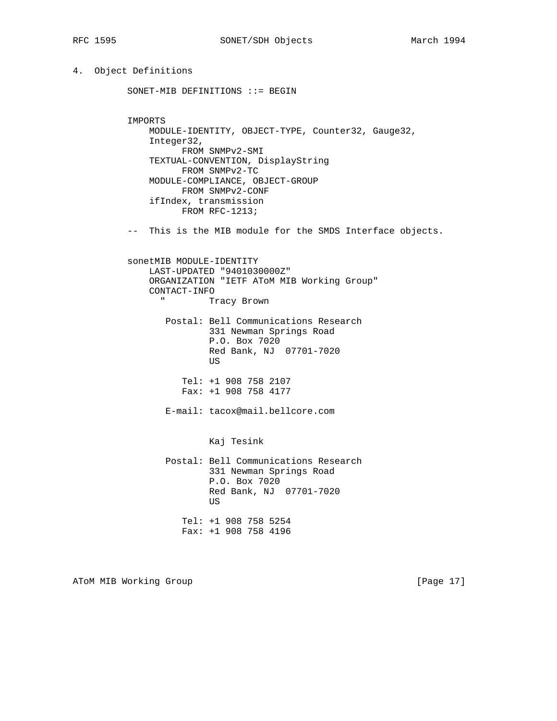# 4. Object Definitions

```
 SONET-MIB DEFINITIONS ::= BEGIN
          IMPORTS
              MODULE-IDENTITY, OBJECT-TYPE, Counter32, Gauge32,
              Integer32,
                   FROM SNMPv2-SMI
              TEXTUAL-CONVENTION, DisplayString
                   FROM SNMPv2-TC
              MODULE-COMPLIANCE, OBJECT-GROUP
                   FROM SNMPv2-CONF
              ifIndex, transmission
                   FROM RFC-1213;
          -- This is the MIB module for the SMDS Interface objects.
          sonetMIB MODULE-IDENTITY
              LAST-UPDATED "9401030000Z"
              ORGANIZATION "IETF AToM MIB Working Group"
              CONTACT-INFO
                " Tracy Brown
                 Postal: Bell Communications Research
                         331 Newman Springs Road
                         P.O. Box 7020
                         Red Bank, NJ 07701-7020
US
                    Tel: +1 908 758 2107
                    Fax: +1 908 758 4177
                 E-mail: tacox@mail.bellcore.com
                         Kaj Tesink
                 Postal: Bell Communications Research
                         331 Newman Springs Road
                         P.O. Box 7020
                         Red Bank, NJ 07701-7020
US
                    Tel: +1 908 758 5254
                    Fax: +1 908 758 4196
```
ATOM MIB Working Group **Example 2018** [Page 17]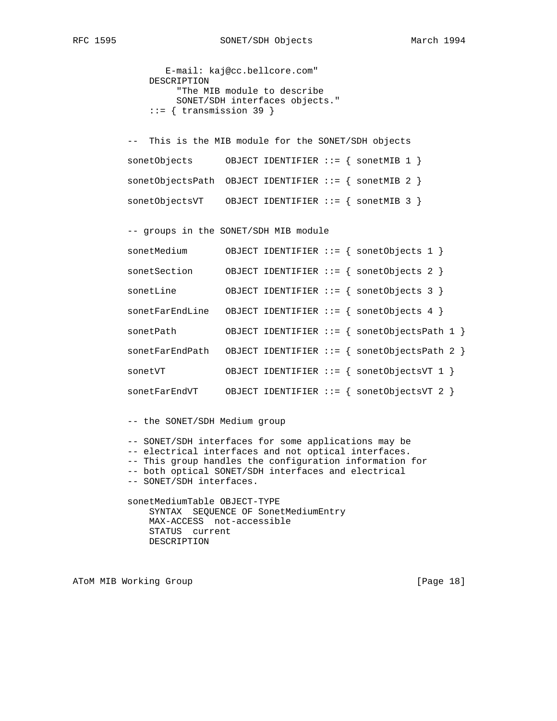```
 E-mail: kaj@cc.bellcore.com"
    DESCRIPTION
         "The MIB module to describe
         SONET/SDH interfaces objects."
    ::= { transmission 39 }
 -- This is the MIB module for the SONET/SDH objects
 sonetObjects OBJECT IDENTIFIER ::= { sonetMIB 1 }
 sonetObjectsPath OBJECT IDENTIFIER ::= { sonetMIB 2 }
 sonetObjectsVT OBJECT IDENTIFIER ::= { sonetMIB 3 }
 -- groups in the SONET/SDH MIB module
 sonetMedium OBJECT IDENTIFIER ::= { sonetObjects 1 }
 sonetSection OBJECT IDENTIFIER ::= { sonetObjects 2 }
 sonetLine OBJECT IDENTIFIER ::= { sonetObjects 3 }
```
 sonetFarEndLine OBJECT IDENTIFIER ::= { sonetObjects 4 } sonetPath OBJECT IDENTIFIER ::= { sonetObjectsPath 1 } sonetFarEndPath OBJECT IDENTIFIER ::= { sonetObjectsPath 2 }

sonetVT OBJECT IDENTIFIER ::= { sonetObjectsVT 1 }

sonetFarEndVT OBJECT IDENTIFIER ::= { sonetObjectsVT 2 }

-- the SONET/SDH Medium group

 -- SONET/SDH interfaces for some applications may be -- electrical interfaces and not optical interfaces. -- This group handles the configuration information for -- both optical SONET/SDH interfaces and electrical -- SONET/SDH interfaces. sonetMediumTable OBJECT-TYPE

 SYNTAX SEQUENCE OF SonetMediumEntry MAX-ACCESS not-accessible STATUS current DESCRIPTION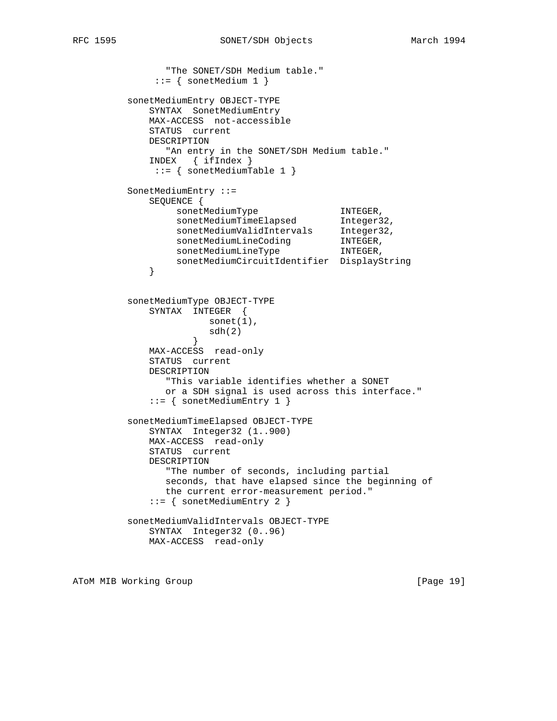```
 "The SONET/SDH Medium table."
             ::= { sonetMedium 1 }
         sonetMediumEntry OBJECT-TYPE
             SYNTAX SonetMediumEntry
             MAX-ACCESS not-accessible
             STATUS current
             DESCRIPTION
              "An entry in the SONET/SDH Medium table."
             INDEX { ifIndex }
             ::= { sonetMediumTable 1 }
         SonetMediumEntry ::=
            SEQUENCE {
sonetMediumType TNTEGER,
sonetMediumTimeElapsed Integer32,
sonetMediumValidIntervals Integer32,
sonetMediumLineCoding TNTEGER,
sonetMediumLineType TNTEGER,
             sonetMediumCircuitIdentifier DisplayString
 }
         sonetMediumType OBJECT-TYPE
             SYNTAX INTEGER {
                     sonet(1),
                   \text{sdh}(2) }
             MAX-ACCESS read-only
             STATUS current
             DESCRIPTION
               "This variable identifies whether a SONET
               or a SDH signal is used across this interface."
             ::= { sonetMediumEntry 1 }
         sonetMediumTimeElapsed OBJECT-TYPE
             SYNTAX Integer32 (1..900)
             MAX-ACCESS read-only
             STATUS current
             DESCRIPTION
               "The number of seconds, including partial
               seconds, that have elapsed since the beginning of
               the current error-measurement period."
             ::= { sonetMediumEntry 2 }
         sonetMediumValidIntervals OBJECT-TYPE
             SYNTAX Integer32 (0..96)
            MAX-ACCESS read-only
```
ATOM MIB Working Group **and Community Community** [Page 19]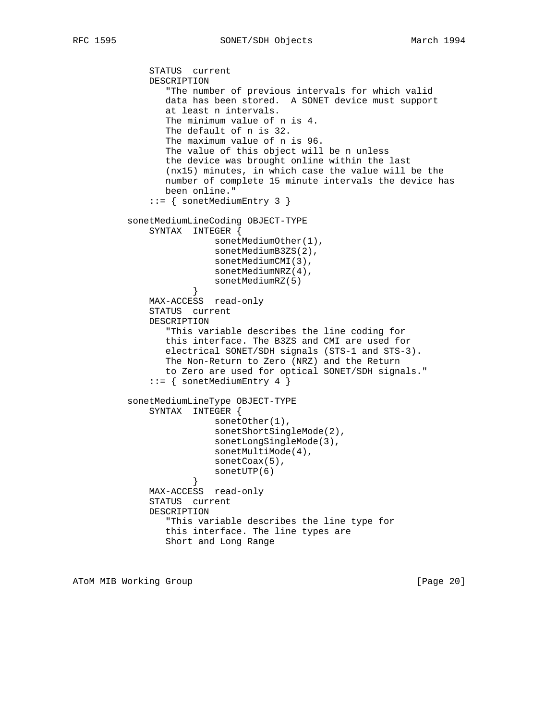STATUS current DESCRIPTION "The number of previous intervals for which valid data has been stored. A SONET device must support at least n intervals. The minimum value of n is 4. The default of n is 32. The maximum value of n is 96. The value of this object will be n unless the device was brought online within the last (nx15) minutes, in which case the value will be the number of complete 15 minute intervals the device has been online." ::= { sonetMediumEntry 3 } sonetMediumLineCoding OBJECT-TYPE SYNTAX INTEGER { sonetMediumOther(1), sonetMediumB3ZS(2), sonetMediumCMI(3), sonetMediumNRZ(4), sonetMediumRZ(5)<br>} } MAX-ACCESS read-only STATUS current DESCRIPTION "This variable describes the line coding for this interface. The B3ZS and CMI are used for electrical SONET/SDH signals (STS-1 and STS-3). The Non-Return to Zero (NRZ) and the Return to Zero are used for optical SONET/SDH signals."  $::=$  { sonetMediumEntry 4 } sonetMediumLineType OBJECT-TYPE SYNTAX INTEGER { sonetOther(1), sonetShortSingleMode(2), sonetLongSingleMode(3), sonetMultiMode(4), sonetCoax(5), sonetUTP(6)<br>} } MAX-ACCESS read-only STATUS current DESCRIPTION "This variable describes the line type for this interface. The line types are Short and Long Range

ATOM MIB Working Group **and Community** [Page 20]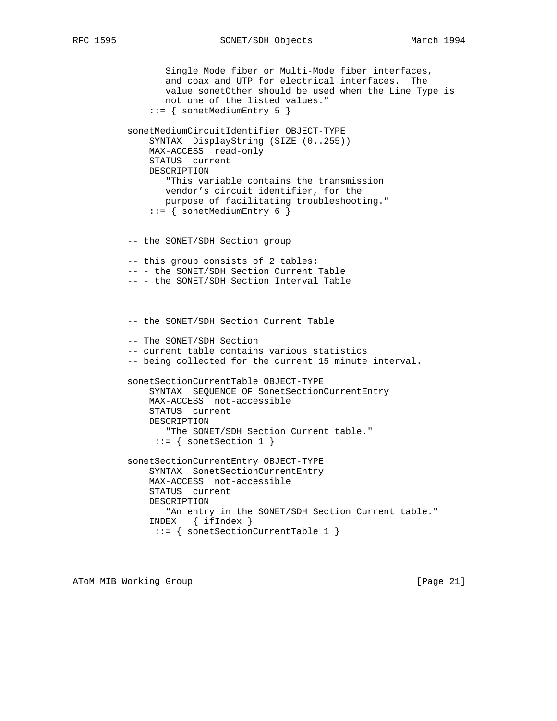Single Mode fiber or Multi-Mode fiber interfaces, and coax and UTP for electrical interfaces. The value sonetOther should be used when the Line Type is not one of the listed values." ::= { sonetMediumEntry 5 } sonetMediumCircuitIdentifier OBJECT-TYPE SYNTAX DisplayString (SIZE (0..255)) MAX-ACCESS read-only STATUS current DESCRIPTION "This variable contains the transmission vendor's circuit identifier, for the purpose of facilitating troubleshooting." ::= { sonetMediumEntry 6 } -- the SONET/SDH Section group -- this group consists of 2 tables: -- - the SONET/SDH Section Current Table -- - the SONET/SDH Section Interval Table -- the SONET/SDH Section Current Table -- The SONET/SDH Section -- current table contains various statistics -- being collected for the current 15 minute interval. sonetSectionCurrentTable OBJECT-TYPE SYNTAX SEQUENCE OF SonetSectionCurrentEntry MAX-ACCESS not-accessible STATUS current DESCRIPTION "The SONET/SDH Section Current table." ::= { sonetSection 1 } sonetSectionCurrentEntry OBJECT-TYPE SYNTAX SonetSectionCurrentEntry MAX-ACCESS not-accessible STATUS current DESCRIPTION "An entry in the SONET/SDH Section Current table." INDEX { ifIndex } ::= { sonetSectionCurrentTable 1 }

ATOM MIB Working Group **by the contract of the Contract Oriental** [Page 21]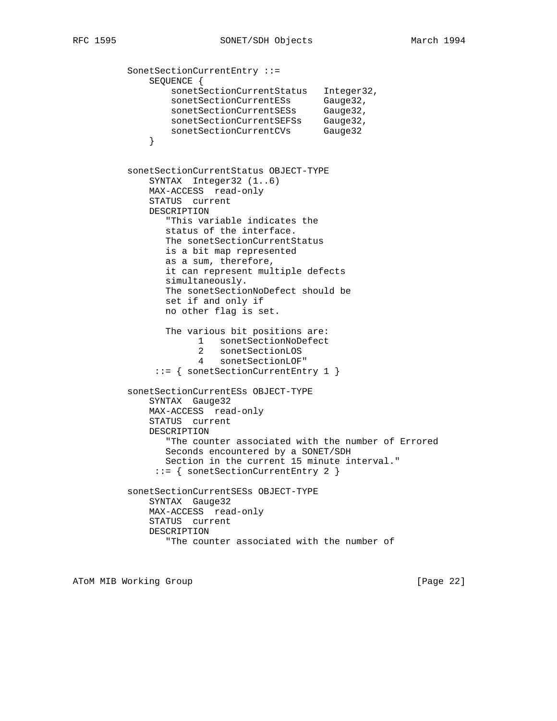```
 SonetSectionCurrentEntry ::=
             SEQUENCE {
                 sonetSectionCurrentStatus Integer32,
sonetSectionCurrentESs Gauge32,
sonetSectionCurrentSESs Gauge32,
sonetSectionCurrentSEFSs Gauge32,
sonetSectionCurrentCVs Gauge32
 }
          sonetSectionCurrentStatus OBJECT-TYPE
             SYNTAX Integer32 (1..6)
             MAX-ACCESS read-only
             STATUS current
             DESCRIPTION
                "This variable indicates the
                status of the interface.
                The sonetSectionCurrentStatus
                is a bit map represented
                as a sum, therefore,
                it can represent multiple defects
                simultaneously.
                The sonetSectionNoDefect should be
                set if and only if
                no other flag is set.
                The various bit positions are:
                      1 sonetSectionNoDefect
                      2 sonetSectionLOS
                      4 sonetSectionLOF"
               ::= { sonetSectionCurrentEntry 1 }
          sonetSectionCurrentESs OBJECT-TYPE
             SYNTAX Gauge32
             MAX-ACCESS read-only
             STATUS current
             DESCRIPTION
                "The counter associated with the number of Errored
                Seconds encountered by a SONET/SDH
                Section in the current 15 minute interval."
               ::= { sonetSectionCurrentEntry 2 }
          sonetSectionCurrentSESs OBJECT-TYPE
             SYNTAX Gauge32
             MAX-ACCESS read-only
             STATUS current
             DESCRIPTION
                 "The counter associated with the number of
```
ATOM MIB Working Group **Example 22** and the set of the set of the set of the set of the set of the set of the set of the set of the set of the set of the set of the set of the set of the set of the set of the set of the se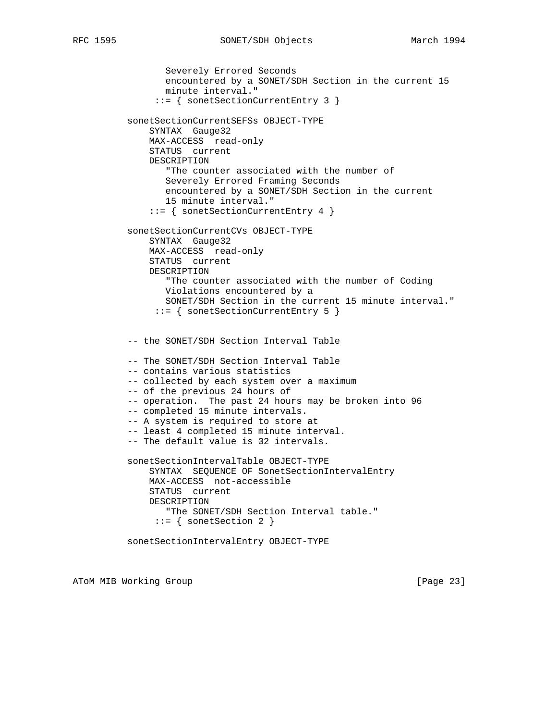```
 Severely Errored Seconds
        encountered by a SONET/SDH Section in the current 15
        minute interval."
      ::= { sonetSectionCurrentEntry 3 }
 sonetSectionCurrentSEFSs OBJECT-TYPE
     SYNTAX Gauge32
     MAX-ACCESS read-only
     STATUS current
     DESCRIPTION
        "The counter associated with the number of
        Severely Errored Framing Seconds
        encountered by a SONET/SDH Section in the current
        15 minute interval."
     ::= { sonetSectionCurrentEntry 4 }
 sonetSectionCurrentCVs OBJECT-TYPE
     SYNTAX Gauge32
     MAX-ACCESS read-only
     STATUS current
     DESCRIPTION
        "The counter associated with the number of Coding
        Violations encountered by a
        SONET/SDH Section in the current 15 minute interval."
      ::= { sonetSectionCurrentEntry 5 }
 -- the SONET/SDH Section Interval Table
 -- The SONET/SDH Section Interval Table
 -- contains various statistics
 -- collected by each system over a maximum
 -- of the previous 24 hours of
 -- operation. The past 24 hours may be broken into 96
 -- completed 15 minute intervals.
 -- A system is required to store at
 -- least 4 completed 15 minute interval.
 -- The default value is 32 intervals.
 sonetSectionIntervalTable OBJECT-TYPE
     SYNTAX SEQUENCE OF SonetSectionIntervalEntry
     MAX-ACCESS not-accessible
     STATUS current
     DESCRIPTION
        "The SONET/SDH Section Interval table."
      ::= { sonetSection 2 }
 sonetSectionIntervalEntry OBJECT-TYPE
```
ATOM MIB Working Group **by the contract of the Contract of Contract Contract Contract Oriental** [Page 23]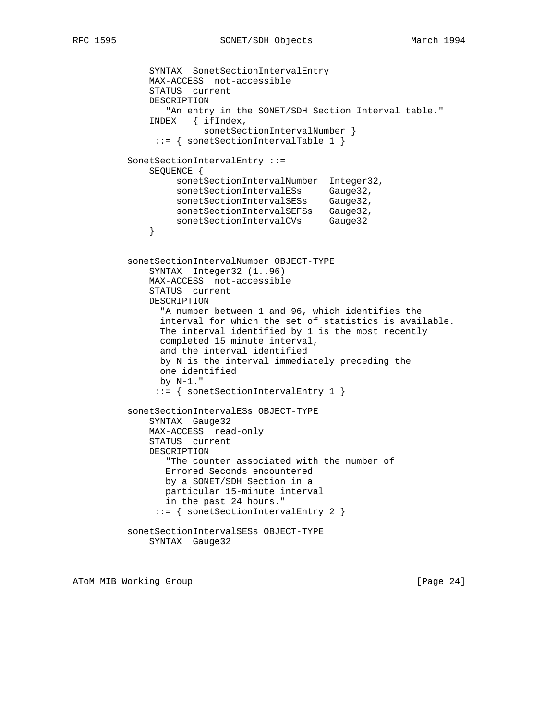```
 SYNTAX SonetSectionIntervalEntry
              MAX-ACCESS not-accessible
              STATUS current
              DESCRIPTION
                "An entry in the SONET/SDH Section Interval table."
              INDEX { ifIndex,
                        sonetSectionIntervalNumber }
               ::= { sonetSectionIntervalTable 1 }
          SonetSectionIntervalEntry ::=
              SEQUENCE {
                  sonetSectionIntervalNumber Integer32,
                   sonetSectionIntervalESs Gauge32,
                   sonetSectionIntervalSESs Gauge32,
sonetSectionIntervalSEFSs Gauge32,
sonetSectionIntervalCVs Gauge32
 }
          sonetSectionIntervalNumber OBJECT-TYPE
              SYNTAX Integer32 (1..96)
              MAX-ACCESS not-accessible
              STATUS current
              DESCRIPTION
                "A number between 1 and 96, which identifies the
                interval for which the set of statistics is available.
                The interval identified by 1 is the most recently
                completed 15 minute interval,
                and the interval identified
                by N is the interval immediately preceding the
                one identified
                by N-1."
               ::= { sonetSectionIntervalEntry 1 }
          sonetSectionIntervalESs OBJECT-TYPE
              SYNTAX Gauge32
              MAX-ACCESS read-only
              STATUS current
              DESCRIPTION
                 "The counter associated with the number of
                 Errored Seconds encountered
                 by a SONET/SDH Section in a
                 particular 15-minute interval
                 in the past 24 hours."
               ::= { sonetSectionIntervalEntry 2 }
          sonetSectionIntervalSESs OBJECT-TYPE
              SYNTAX Gauge32
```
ATOM MIB Working Group **Example 24** and the set of the set of the set of the set of the set of the set of the set of the set of the set of the set of the set of the set of the set of the set of the set of the set of the se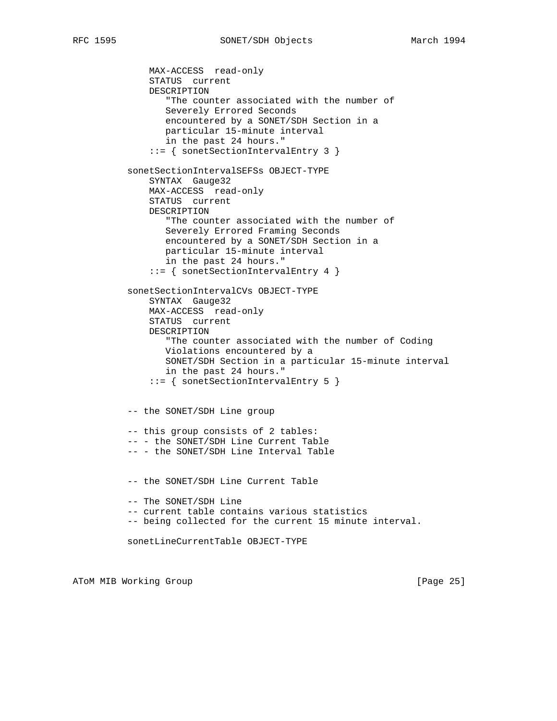MAX-ACCESS read-only STATUS current DESCRIPTION "The counter associated with the number of Severely Errored Seconds encountered by a SONET/SDH Section in a particular 15-minute interval in the past 24 hours." ::= { sonetSectionIntervalEntry 3 } sonetSectionIntervalSEFSs OBJECT-TYPE SYNTAX Gauge32 MAX-ACCESS read-only STATUS current DESCRIPTION "The counter associated with the number of Severely Errored Framing Seconds encountered by a SONET/SDH Section in a particular 15-minute interval in the past 24 hours." ::= { sonetSectionIntervalEntry 4 } sonetSectionIntervalCVs OBJECT-TYPE SYNTAX Gauge32 MAX-ACCESS read-only STATUS current DESCRIPTION "The counter associated with the number of Coding Violations encountered by a SONET/SDH Section in a particular 15-minute interval in the past 24 hours." ::= { sonetSectionIntervalEntry 5 } -- the SONET/SDH Line group -- this group consists of 2 tables: -- - the SONET/SDH Line Current Table -- - the SONET/SDH Line Interval Table -- the SONET/SDH Line Current Table -- The SONET/SDH Line -- current table contains various statistics -- being collected for the current 15 minute interval. sonetLineCurrentTable OBJECT-TYPE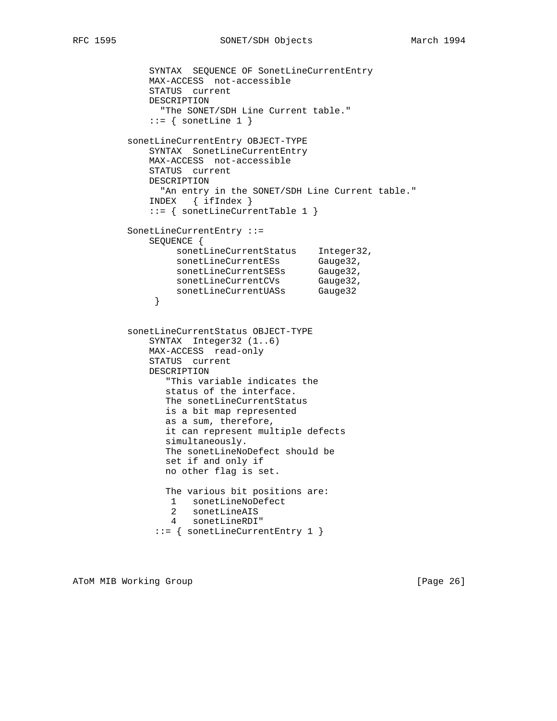```
 SYNTAX SEQUENCE OF SonetLineCurrentEntry
             MAX-ACCESS not-accessible
             STATUS current
             DESCRIPTION
               "The SONET/SDH Line Current table."
            ::= { sonetLine 1 }
          sonetLineCurrentEntry OBJECT-TYPE
             SYNTAX SonetLineCurrentEntry
             MAX-ACCESS not-accessible
             STATUS current
             DESCRIPTION
              "An entry in the SONET/SDH Line Current table."
             INDEX { ifIndex }
             ::= { sonetLineCurrentTable 1 }
          SonetLineCurrentEntry ::=
             SEQUENCE {
                  sonetLineCurrentStatus Integer32,
sonetLineCurrentESs Gauge32,
sonetLineCurrentSESs Gauge32,
sonetLineCurrentCVs Gauge32,
 sonetLineCurrentUASs Gauge32
 }
          sonetLineCurrentStatus OBJECT-TYPE
             SYNTAX Integer32 (1..6)
             MAX-ACCESS read-only
             STATUS current
             DESCRIPTION
                "This variable indicates the
                status of the interface.
                The sonetLineCurrentStatus
                is a bit map represented
                as a sum, therefore,
                it can represent multiple defects
                simultaneously.
                The sonetLineNoDefect should be
                set if and only if
                no other flag is set.
                The various bit positions are:
                 1 sonetLineNoDefect
                 2 sonetLineAIS
                 4 sonetLineRDI"
              ::= { sonetLineCurrentEntry 1 }
```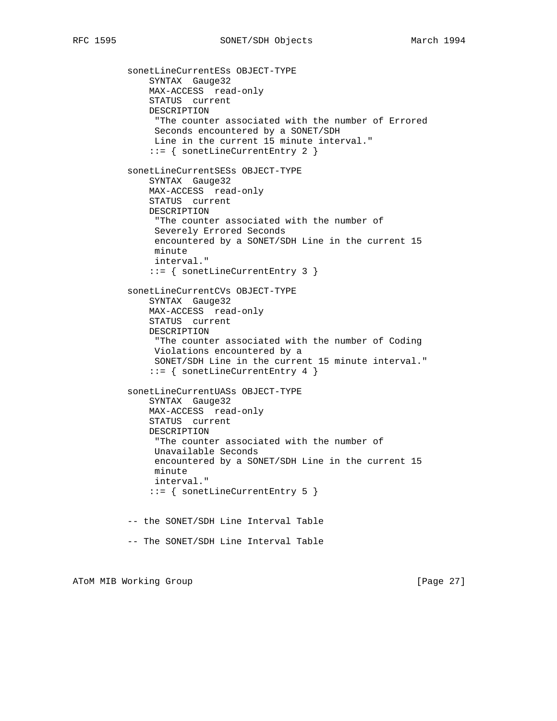sonetLineCurrentESs OBJECT-TYPE SYNTAX Gauge32 MAX-ACCESS read-only STATUS current DESCRIPTION "The counter associated with the number of Errored Seconds encountered by a SONET/SDH Line in the current 15 minute interval." ::= { sonetLineCurrentEntry 2 } sonetLineCurrentSESs OBJECT-TYPE SYNTAX Gauge32 MAX-ACCESS read-only STATUS current DESCRIPTION "The counter associated with the number of Severely Errored Seconds encountered by a SONET/SDH Line in the current 15 minute interval." ::= { sonetLineCurrentEntry 3 } sonetLineCurrentCVs OBJECT-TYPE SYNTAX Gauge32 MAX-ACCESS read-only STATUS current DESCRIPTION "The counter associated with the number of Coding Violations encountered by a SONET/SDH Line in the current 15 minute interval." ::= { sonetLineCurrentEntry 4 } sonetLineCurrentUASs OBJECT-TYPE SYNTAX Gauge32 MAX-ACCESS read-only STATUS current DESCRIPTION "The counter associated with the number of Unavailable Seconds encountered by a SONET/SDH Line in the current 15 minute interval." ::= { sonetLineCurrentEntry 5 } -- the SONET/SDH Line Interval Table -- The SONET/SDH Line Interval Table

ATOM MIB Working Group **and Community Community** [Page 27]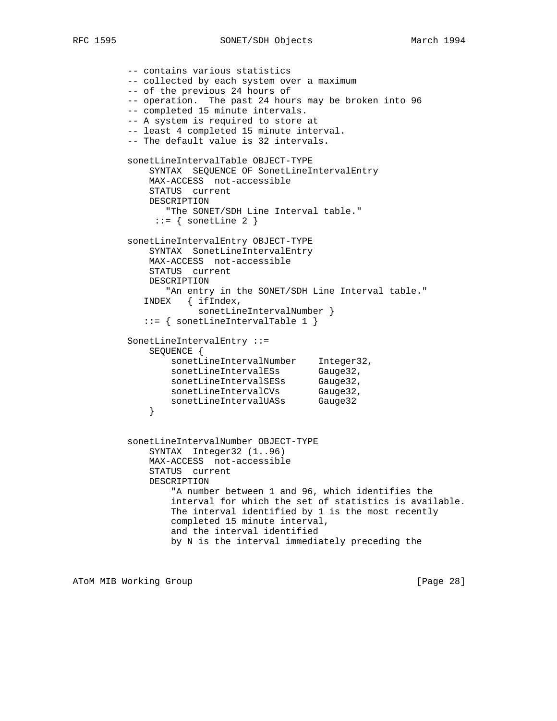-- contains various statistics -- collected by each system over a maximum -- of the previous 24 hours of -- operation. The past 24 hours may be broken into 96 -- completed 15 minute intervals. -- A system is required to store at -- least 4 completed 15 minute interval. -- The default value is 32 intervals. sonetLineIntervalTable OBJECT-TYPE SYNTAX SEQUENCE OF SonetLineIntervalEntry MAX-ACCESS not-accessible STATUS current DESCRIPTION "The SONET/SDH Line Interval table."  $::=$  { sonetLine 2 } sonetLineIntervalEntry OBJECT-TYPE SYNTAX SonetLineIntervalEntry MAX-ACCESS not-accessible STATUS current DESCRIPTION "An entry in the SONET/SDH Line Interval table." INDEX { ifIndex, sonetLineIntervalNumber } ::= { sonetLineIntervalTable 1 } SonetLineIntervalEntry ::= SEQUENCE { sonetLineIntervalNumber Integer32, sonetLineIntervalESs Gauge32, sonetLineIntervalSESs Gauge32, sonetLineIntervalCVs Gauge32, sonetLineIntervalUASs Gauge32 } sonetLineIntervalNumber OBJECT-TYPE SYNTAX Integer32 (1..96) MAX-ACCESS not-accessible STATUS current DESCRIPTION "A number between 1 and 96, which identifies the interval for which the set of statistics is available. The interval identified by 1 is the most recently completed 15 minute interval, and the interval identified by N is the interval immediately preceding the

ATOM MIB Working Group **Example 28** and the set of the set of the set of the set of the set of the set of the set of the set of the set of the set of the set of the set of the set of the set of the set of the set of the se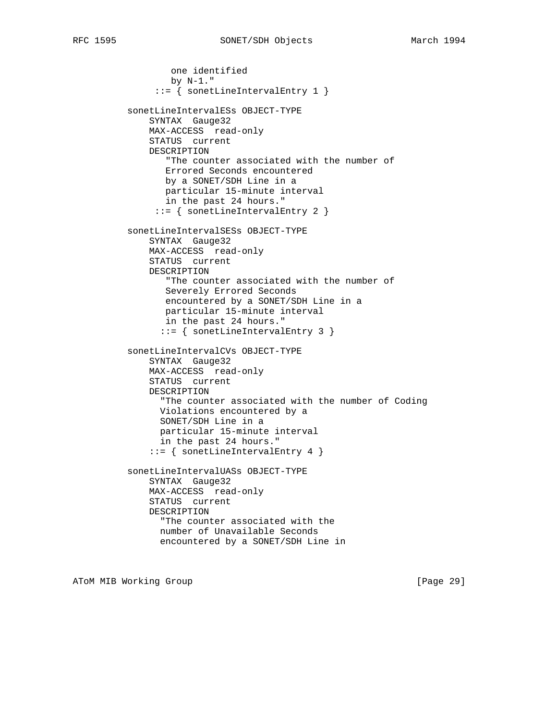```
 one identified
        by N-1."
      ::= { sonetLineIntervalEntry 1 }
 sonetLineIntervalESs OBJECT-TYPE
     SYNTAX Gauge32
     MAX-ACCESS read-only
     STATUS current
     DESCRIPTION
        "The counter associated with the number of
        Errored Seconds encountered
       by a SONET/SDH Line in a
        particular 15-minute interval
        in the past 24 hours."
      ::= { sonetLineIntervalEntry 2 }
 sonetLineIntervalSESs OBJECT-TYPE
     SYNTAX Gauge32
     MAX-ACCESS read-only
     STATUS current
     DESCRIPTION
        "The counter associated with the number of
        Severely Errored Seconds
       encountered by a SONET/SDH Line in a
        particular 15-minute interval
        in the past 24 hours."
       ::= { sonetLineIntervalEntry 3 }
 sonetLineIntervalCVs OBJECT-TYPE
     SYNTAX Gauge32
     MAX-ACCESS read-only
     STATUS current
     DESCRIPTION
       "The counter associated with the number of Coding
      Violations encountered by a
      SONET/SDH Line in a
       particular 15-minute interval
       in the past 24 hours."
     ::= { sonetLineIntervalEntry 4 }
 sonetLineIntervalUASs OBJECT-TYPE
     SYNTAX Gauge32
     MAX-ACCESS read-only
     STATUS current
     DESCRIPTION
       "The counter associated with the
      number of Unavailable Seconds
       encountered by a SONET/SDH Line in
```
ATOM MIB Working Group **Example 2018** [Page 29]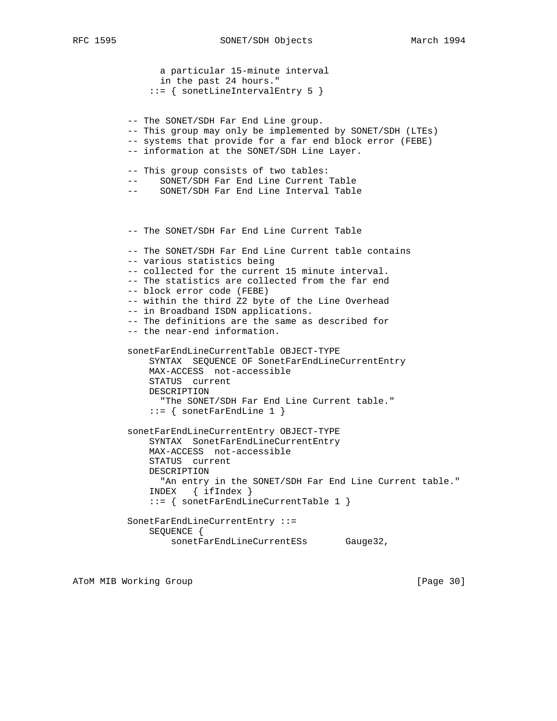```
 a particular 15-minute interval
       in the past 24 hours."
     ::= { sonetLineIntervalEntry 5 }
 -- The SONET/SDH Far End Line group.
 -- This group may only be implemented by SONET/SDH (LTEs)
 -- systems that provide for a far end block error (FEBE)
 -- information at the SONET/SDH Line Layer.
 -- This group consists of two tables:
 -- SONET/SDH Far End Line Current Table
 -- SONET/SDH Far End Line Interval Table
 -- The SONET/SDH Far End Line Current Table
 -- The SONET/SDH Far End Line Current table contains
 -- various statistics being
 -- collected for the current 15 minute interval.
 -- The statistics are collected from the far end
 -- block error code (FEBE)
 -- within the third Z2 byte of the Line Overhead
 -- in Broadband ISDN applications.
 -- The definitions are the same as described for
 -- the near-end information.
 sonetFarEndLineCurrentTable OBJECT-TYPE
     SYNTAX SEQUENCE OF SonetFarEndLineCurrentEntry
    MAX-ACCESS not-accessible
    STATUS current
    DESCRIPTION
       "The SONET/SDH Far End Line Current table."
    ::= { sonetFarEndLine 1 }
 sonetFarEndLineCurrentEntry OBJECT-TYPE
     SYNTAX SonetFarEndLineCurrentEntry
     MAX-ACCESS not-accessible
     STATUS current
     DESCRIPTION
      "An entry in the SONET/SDH Far End Line Current table."
     INDEX { ifIndex }
     ::= { sonetFarEndLineCurrentTable 1 }
 SonetFarEndLineCurrentEntry ::=
     SEQUENCE {
         sonetFarEndLineCurrentESs Gauge32,
```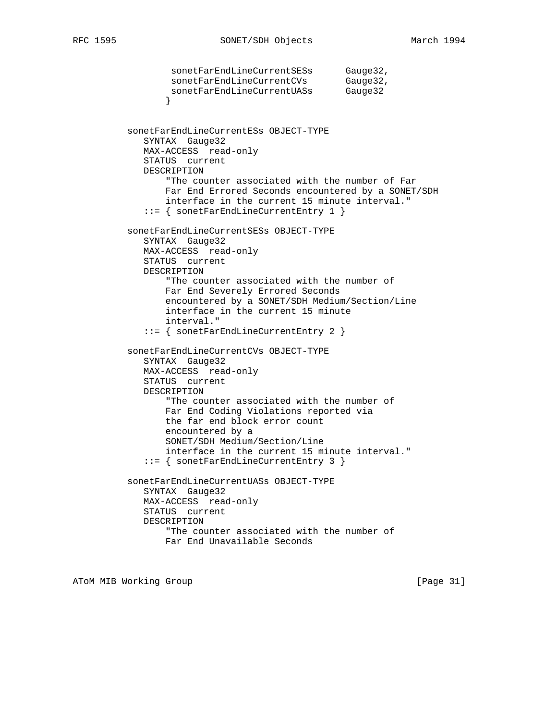```
sonetFarEndLineCurrentSESs Gauge32,
sonetFarEndLineCurrentCVs Gauge32,
sonetFarEndLineCurrentUASs Gauge32
 }
          sonetFarEndLineCurrentESs OBJECT-TYPE
            SYNTAX Gauge32
             MAX-ACCESS read-only
             STATUS current
             DESCRIPTION
                 "The counter associated with the number of Far
                Far End Errored Seconds encountered by a SONET/SDH
                 interface in the current 15 minute interval."
             ::= { sonetFarEndLineCurrentEntry 1 }
          sonetFarEndLineCurrentSESs OBJECT-TYPE
             SYNTAX Gauge32
             MAX-ACCESS read-only
             STATUS current
             DESCRIPTION
                 "The counter associated with the number of
                 Far End Severely Errored Seconds
                 encountered by a SONET/SDH Medium/Section/Line
                 interface in the current 15 minute
                 interval."
             ::= { sonetFarEndLineCurrentEntry 2 }
          sonetFarEndLineCurrentCVs OBJECT-TYPE
             SYNTAX Gauge32
             MAX-ACCESS read-only
             STATUS current
             DESCRIPTION
                 "The counter associated with the number of
                 Far End Coding Violations reported via
                 the far end block error count
                 encountered by a
                 SONET/SDH Medium/Section/Line
                 interface in the current 15 minute interval."
             ::= { sonetFarEndLineCurrentEntry 3 }
          sonetFarEndLineCurrentUASs OBJECT-TYPE
             SYNTAX Gauge32
             MAX-ACCESS read-only
             STATUS current
             DESCRIPTION
                 "The counter associated with the number of
                 Far End Unavailable Seconds
```
ATOM MIB Working Group **by the contract of the Contract of Contract Contract Contract Oriental** [Page 31]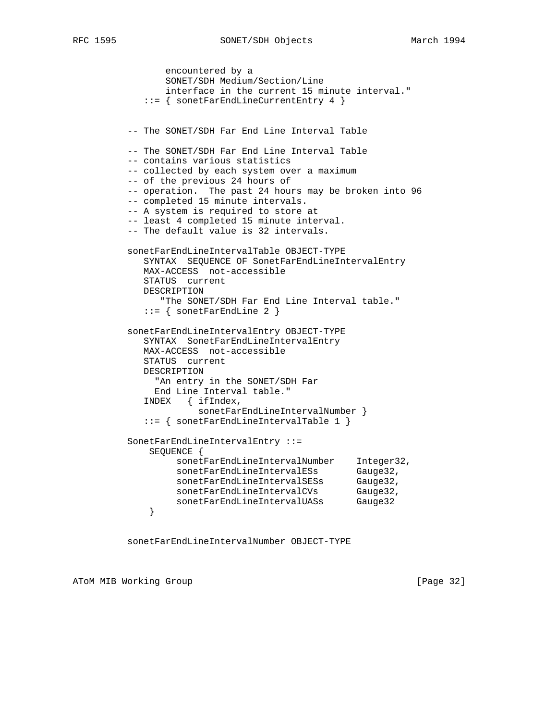```
 encountered by a
                SONET/SDH Medium/Section/Line
                interface in the current 15 minute interval."
             ::= { sonetFarEndLineCurrentEntry 4 }
          -- The SONET/SDH Far End Line Interval Table
          -- The SONET/SDH Far End Line Interval Table
          -- contains various statistics
         -- collected by each system over a maximum
          -- of the previous 24 hours of
          -- operation. The past 24 hours may be broken into 96
          -- completed 15 minute intervals.
          -- A system is required to store at
          -- least 4 completed 15 minute interval.
          -- The default value is 32 intervals.
          sonetFarEndLineIntervalTable OBJECT-TYPE
            SYNTAX SEQUENCE OF SonetFarEndLineIntervalEntry
            MAX-ACCESS not-accessible
            STATUS current
            DESCRIPTION
               "The SONET/SDH Far End Line Interval table."
             ::= { sonetFarEndLine 2 }
          sonetFarEndLineIntervalEntry OBJECT-TYPE
            SYNTAX SonetFarEndLineIntervalEntry
            MAX-ACCESS not-accessible
            STATUS current
            DESCRIPTION
              "An entry in the SONET/SDH Far
              End Line Interval table."
            INDEX { ifIndex,
                     sonetFarEndLineIntervalNumber }
             ::= { sonetFarEndLineIntervalTable 1 }
          SonetFarEndLineIntervalEntry ::=
             SEQUENCE {
 sonetFarEndLineIntervalNumber Integer32,
sonetFarEndLineIntervalESs Gauge32,
sonetFarEndLineIntervalSESs Gauge32,
sonetFarEndLineIntervalCVs Gauge32,
             sonetFarEndLineIntervalUASs Gauge32
 }
```
sonetFarEndLineIntervalNumber OBJECT-TYPE

ATOM MIB Working Group **Example 2018** [Page 32]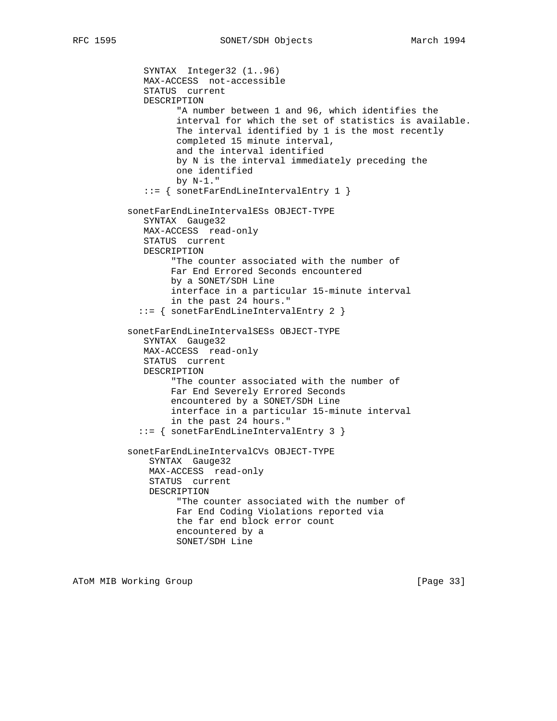```
 SYNTAX Integer32 (1..96)
    MAX-ACCESS not-accessible
    STATUS current
    DESCRIPTION
          "A number between 1 and 96, which identifies the
          interval for which the set of statistics is available.
          The interval identified by 1 is the most recently
          completed 15 minute interval,
          and the interval identified
          by N is the interval immediately preceding the
          one identified
          by N-1."
    ::= { sonetFarEndLineIntervalEntry 1 }
 sonetFarEndLineIntervalESs OBJECT-TYPE
    SYNTAX Gauge32
    MAX-ACCESS read-only
    STATUS current
    DESCRIPTION
         "The counter associated with the number of
         Far End Errored Seconds encountered
         by a SONET/SDH Line
         interface in a particular 15-minute interval
         in the past 24 hours."
   ::= { sonetFarEndLineIntervalEntry 2 }
 sonetFarEndLineIntervalSESs OBJECT-TYPE
    SYNTAX Gauge32
    MAX-ACCESS read-only
    STATUS current
    DESCRIPTION
         "The counter associated with the number of
         Far End Severely Errored Seconds
         encountered by a SONET/SDH Line
         interface in a particular 15-minute interval
         in the past 24 hours."
   ::= { sonetFarEndLineIntervalEntry 3 }
 sonetFarEndLineIntervalCVs OBJECT-TYPE
     SYNTAX Gauge32
     MAX-ACCESS read-only
     STATUS current
     DESCRIPTION
          "The counter associated with the number of
          Far End Coding Violations reported via
          the far end block error count
          encountered by a
          SONET/SDH Line
```
ATOM MIB Working Group **by the contract of the Contract of Contract Contract of Contract Contract Contract Oriental**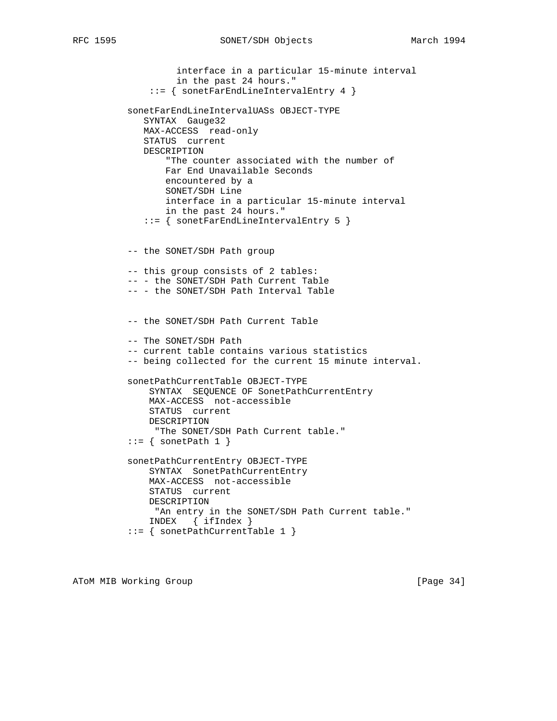```
 interface in a particular 15-minute interval
          in the past 24 hours."
     ::= { sonetFarEndLineIntervalEntry 4 }
 sonetFarEndLineIntervalUASs OBJECT-TYPE
   SYNTAX Gauge32
   MAX-ACCESS read-only
   STATUS current
   DESCRIPTION
        "The counter associated with the number of
       Far End Unavailable Seconds
       encountered by a
        SONET/SDH Line
        interface in a particular 15-minute interval
       in the past 24 hours."
    ::= { sonetFarEndLineIntervalEntry 5 }
 -- the SONET/SDH Path group
 -- this group consists of 2 tables:
 -- - the SONET/SDH Path Current Table
 -- - the SONET/SDH Path Interval Table
 -- the SONET/SDH Path Current Table
 -- The SONET/SDH Path
 -- current table contains various statistics
 -- being collected for the current 15 minute interval.
 sonetPathCurrentTable OBJECT-TYPE
     SYNTAX SEQUENCE OF SonetPathCurrentEntry
    MAX-ACCESS not-accessible
     STATUS current
    DESCRIPTION
     "The SONET/SDH Path Current table."
::= { sonetPath 1 }
 sonetPathCurrentEntry OBJECT-TYPE
     SYNTAX SonetPathCurrentEntry
     MAX-ACCESS not-accessible
     STATUS current
     DESCRIPTION
    "An entry in the SONET/SDH Path Current table."
     INDEX { ifIndex }
 ::= { sonetPathCurrentTable 1 }
```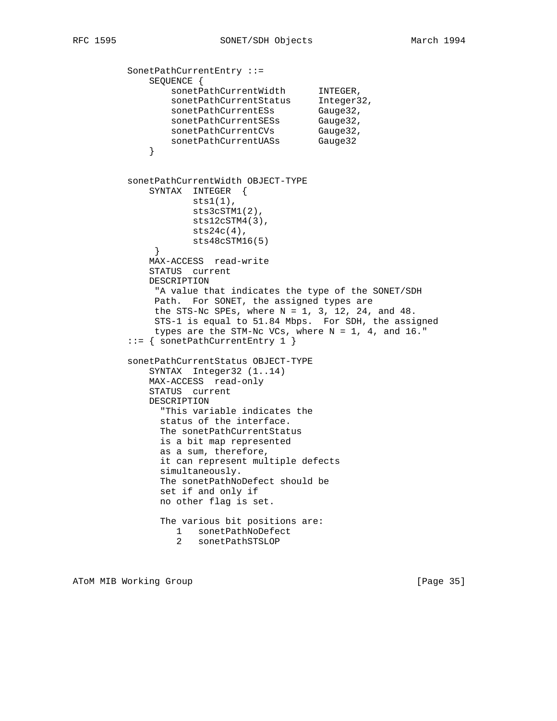```
 SonetPathCurrentEntry ::=
             SEQUENCE {
sonetPathCurrentWidth INTEGER,
sonetPathCurrentStatus Integer32,
sonetPathCurrentESs Gauge32,
sonetPathCurrentSESs Gauge32,
sonetPathCurrentCVs Gauge32,
sonetPathCurrentUASs Gauge32
 }
         sonetPathCurrentWidth OBJECT-TYPE
             SYNTAX INTEGER {
                  sts1(1),
                   sts3cSTM1(2),
                    sts12cSTM4(3),
                   sts24c(4),
             sts48cSTM16(5)<br>}
 }
             MAX-ACCESS read-write
             STATUS current
             DESCRIPTION
              "A value that indicates the type of the SONET/SDH
             Path. For SONET, the assigned types are
             the STS-Nc SPEs, where N = 1, 3, 12, 24, and 48.
              STS-1 is equal to 51.84 Mbps. For SDH, the assigned
             types are the STM-Nc VCs, where N = 1, 4, and 16."
         ::= { sonetPathCurrentEntry 1 }
         sonetPathCurrentStatus OBJECT-TYPE
             SYNTAX Integer32 (1..14)
             MAX-ACCESS read-only
             STATUS current
             DESCRIPTION
               "This variable indicates the
              status of the interface.
              The sonetPathCurrentStatus
               is a bit map represented
               as a sum, therefore,
               it can represent multiple defects
               simultaneously.
              The sonetPathNoDefect should be
              set if and only if
              no other flag is set.
               The various bit positions are:
                 1 sonetPathNoDefect
                 2 sonetPathSTSLOP
```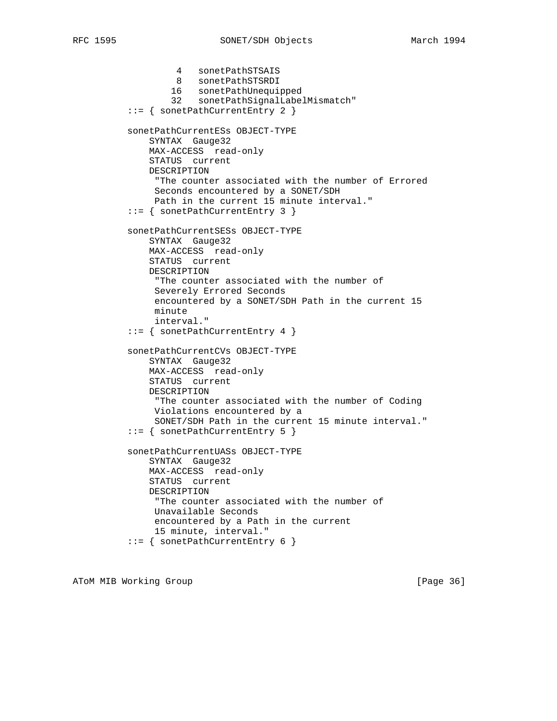4 sonetPathSTSAIS 8 sonetPathSTSRDI 16 sonetPathUnequipped 32 sonetPathSignalLabelMismatch" ::= { sonetPathCurrentEntry 2 } sonetPathCurrentESs OBJECT-TYPE SYNTAX Gauge32 MAX-ACCESS read-only STATUS current DESCRIPTION "The counter associated with the number of Errored Seconds encountered by a SONET/SDH Path in the current 15 minute interval." ::= { sonetPathCurrentEntry 3 } sonetPathCurrentSESs OBJECT-TYPE SYNTAX Gauge32 MAX-ACCESS read-only STATUS current DESCRIPTION "The counter associated with the number of Severely Errored Seconds encountered by a SONET/SDH Path in the current 15 minute interval." ::= { sonetPathCurrentEntry 4 } sonetPathCurrentCVs OBJECT-TYPE SYNTAX Gauge32 MAX-ACCESS read-only STATUS current DESCRIPTION "The counter associated with the number of Coding Violations encountered by a SONET/SDH Path in the current 15 minute interval." ::= { sonetPathCurrentEntry 5 } sonetPathCurrentUASs OBJECT-TYPE SYNTAX Gauge32 MAX-ACCESS read-only STATUS current DESCRIPTION "The counter associated with the number of Unavailable Seconds encountered by a Path in the current 15 minute, interval." ::= { sonetPathCurrentEntry 6 }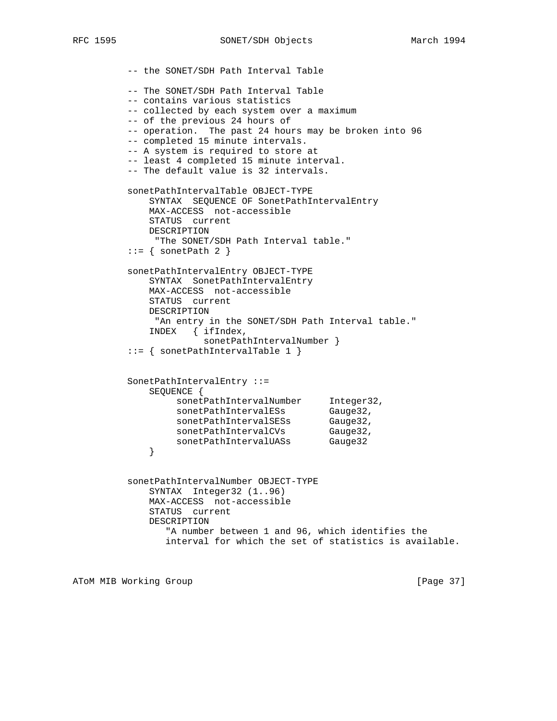-- the SONET/SDH Path Interval Table -- The SONET/SDH Path Interval Table -- contains various statistics -- collected by each system over a maximum -- of the previous 24 hours of -- operation. The past 24 hours may be broken into 96 -- completed 15 minute intervals. -- A system is required to store at -- least 4 completed 15 minute interval. -- The default value is 32 intervals. sonetPathIntervalTable OBJECT-TYPE SYNTAX SEQUENCE OF SonetPathIntervalEntry MAX-ACCESS not-accessible STATUS current DESCRIPTION "The SONET/SDH Path Interval table."  $::=$  { sonetPath 2 } sonetPathIntervalEntry OBJECT-TYPE SYNTAX SonetPathIntervalEntry MAX-ACCESS not-accessible STATUS current DESCRIPTION "An entry in the SONET/SDH Path Interval table." INDEX { ifIndex, sonetPathIntervalNumber } ::= { sonetPathIntervalTable 1 } SonetPathIntervalEntry ::= SEQUENCE { sonetPathIntervalNumber Integer32, sonetPathIntervalESs Gauge32, sonetPathIntervalSESs Gauge32, sonetPathIntervalCVs Gauge32, sonetPathIntervalUASs Gauge32 } sonetPathIntervalNumber OBJECT-TYPE SYNTAX Integer32 (1..96) MAX-ACCESS not-accessible STATUS current DESCRIPTION "A number between 1 and 96, which identifies the interval for which the set of statistics is available.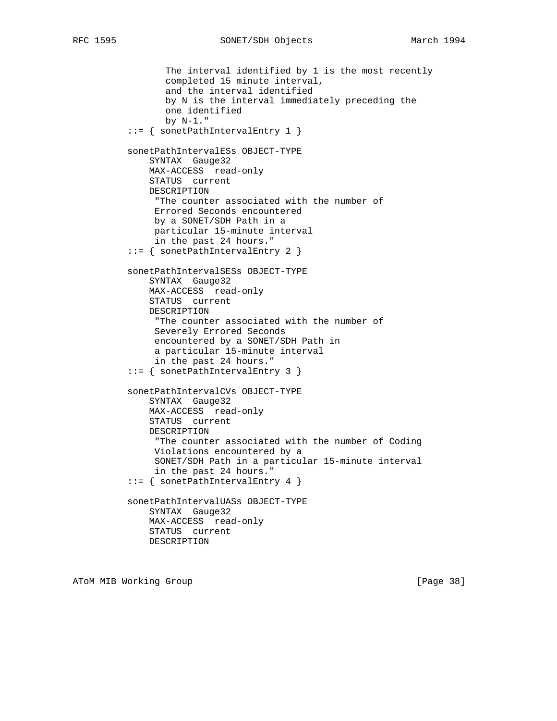The interval identified by 1 is the most recently completed 15 minute interval, and the interval identified by N is the interval immediately preceding the one identified by N-1." ::= { sonetPathIntervalEntry 1 } sonetPathIntervalESs OBJECT-TYPE SYNTAX Gauge32 MAX-ACCESS read-only STATUS current DESCRIPTION "The counter associated with the number of Errored Seconds encountered by a SONET/SDH Path in a particular 15-minute interval in the past 24 hours." ::= { sonetPathIntervalEntry 2 } sonetPathIntervalSESs OBJECT-TYPE SYNTAX Gauge32 MAX-ACCESS read-only STATUS current DESCRIPTION "The counter associated with the number of Severely Errored Seconds encountered by a SONET/SDH Path in a particular 15-minute interval in the past 24 hours." ::= { sonetPathIntervalEntry 3 } sonetPathIntervalCVs OBJECT-TYPE SYNTAX Gauge32 MAX-ACCESS read-only STATUS current DESCRIPTION "The counter associated with the number of Coding Violations encountered by a SONET/SDH Path in a particular 15-minute interval in the past 24 hours." ::= { sonetPathIntervalEntry 4 } sonetPathIntervalUASs OBJECT-TYPE SYNTAX Gauge32 MAX-ACCESS read-only STATUS current DESCRIPTION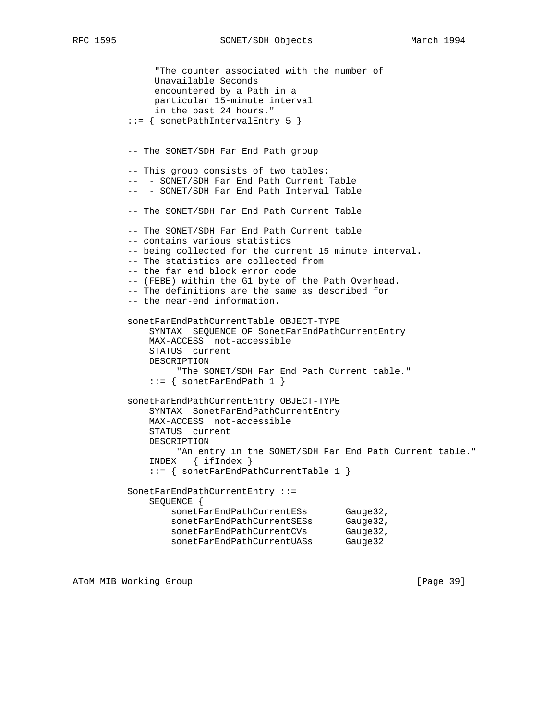```
 "The counter associated with the number of
               Unavailable Seconds
               encountered by a Path in a
               particular 15-minute interval
               in the past 24 hours."
          ::= { sonetPathIntervalEntry 5 }
          -- The SONET/SDH Far End Path group
          -- This group consists of two tables:
          -- - SONET/SDH Far End Path Current Table
         -- - SONET/SDH Far End Path Interval Table
          -- The SONET/SDH Far End Path Current Table
          -- The SONET/SDH Far End Path Current table
          -- contains various statistics
          -- being collected for the current 15 minute interval.
          -- The statistics are collected from
          -- the far end block error code
          -- (FEBE) within the G1 byte of the Path Overhead.
          -- The definitions are the same as described for
          -- the near-end information.
          sonetFarEndPathCurrentTable OBJECT-TYPE
              SYNTAX SEQUENCE OF SonetFarEndPathCurrentEntry
              MAX-ACCESS not-accessible
              STATUS current
              DESCRIPTION
                   "The SONET/SDH Far End Path Current table."
             ::= { sonetFarEndPath 1 }
          sonetFarEndPathCurrentEntry OBJECT-TYPE
              SYNTAX SonetFarEndPathCurrentEntry
              MAX-ACCESS not-accessible
              STATUS current
              DESCRIPTION
                  "An entry in the SONET/SDH Far End Path Current table."
              INDEX { ifIndex }
              ::= { sonetFarEndPathCurrentTable 1 }
          SonetFarEndPathCurrentEntry ::=
              SEQUENCE {
sonetFarEndPathCurrentESs Gauge32,
sonetFarEndPathCurrentSESs Gauge32,
sonetFarEndPathCurrentCVs Gauge32,
sonetFarEndPathCurrentUASs Gauge32
```
ATOM MIB Working Group **by the contract of the Contract of Contract Contract of Contract Contract Contract Open**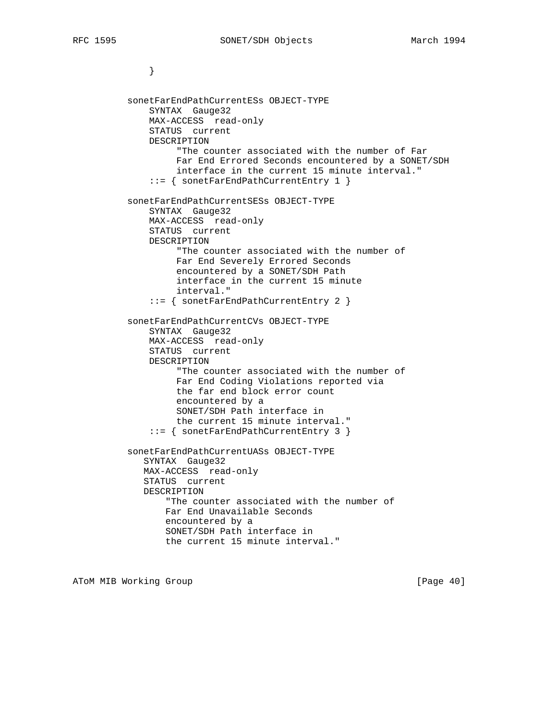} sonetFarEndPathCurrentESs OBJECT-TYPE SYNTAX Gauge32 MAX-ACCESS read-only STATUS current DESCRIPTION "The counter associated with the number of Far Far End Errored Seconds encountered by a SONET/SDH interface in the current 15 minute interval." ::= { sonetFarEndPathCurrentEntry 1 } sonetFarEndPathCurrentSESs OBJECT-TYPE SYNTAX Gauge32 MAX-ACCESS read-only STATUS current DESCRIPTION "The counter associated with the number of Far End Severely Errored Seconds encountered by a SONET/SDH Path interface in the current 15 minute interval." ::= { sonetFarEndPathCurrentEntry 2 } sonetFarEndPathCurrentCVs OBJECT-TYPE SYNTAX Gauge32 MAX-ACCESS read-only STATUS current DESCRIPTION "The counter associated with the number of Far End Coding Violations reported via the far end block error count encountered by a SONET/SDH Path interface in the current 15 minute interval." ::= { sonetFarEndPathCurrentEntry 3 } sonetFarEndPathCurrentUASs OBJECT-TYPE SYNTAX Gauge32 MAX-ACCESS read-only STATUS current DESCRIPTION "The counter associated with the number of Far End Unavailable Seconds encountered by a SONET/SDH Path interface in the current 15 minute interval."

ATOM MIB Working Group **and Community** [Page 40]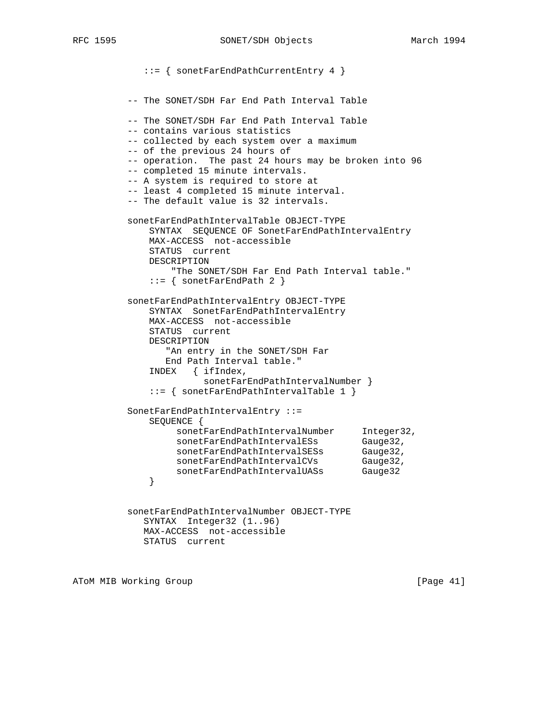::= { sonetFarEndPathCurrentEntry 4 } -- The SONET/SDH Far End Path Interval Table -- The SONET/SDH Far End Path Interval Table -- contains various statistics -- collected by each system over a maximum -- of the previous 24 hours of -- operation. The past 24 hours may be broken into 96 -- completed 15 minute intervals. -- A system is required to store at -- least 4 completed 15 minute interval. -- The default value is 32 intervals. sonetFarEndPathIntervalTable OBJECT-TYPE SYNTAX SEQUENCE OF SonetFarEndPathIntervalEntry MAX-ACCESS not-accessible STATUS current DESCRIPTION "The SONET/SDH Far End Path Interval table." ::= { sonetFarEndPath 2 } sonetFarEndPathIntervalEntry OBJECT-TYPE SYNTAX SonetFarEndPathIntervalEntry MAX-ACCESS not-accessible STATUS current DESCRIPTION "An entry in the SONET/SDH Far End Path Interval table." INDEX { ifIndex, sonetFarEndPathIntervalNumber } ::= { sonetFarEndPathIntervalTable 1 } SonetFarEndPathIntervalEntry ::= SEQUENCE { sonetFarEndPathIntervalNumber Integer32, sonetFarEndPathIntervalESs Gauge32, sonetFarEndPathIntervalSESs Gauge32, sonetFarEndPathIntervalCVs Gauge32, sonetFarEndPathIntervalUASs Gauge32 } sonetFarEndPathIntervalNumber OBJECT-TYPE SYNTAX Integer32 (1..96) MAX-ACCESS not-accessible

STATUS current

ATOM MIB Working Group and the set of the set of the set of the set of the set of the set of the set of the set of the set of the set of the set of the set of the set of the set of the set of the set of the set of the set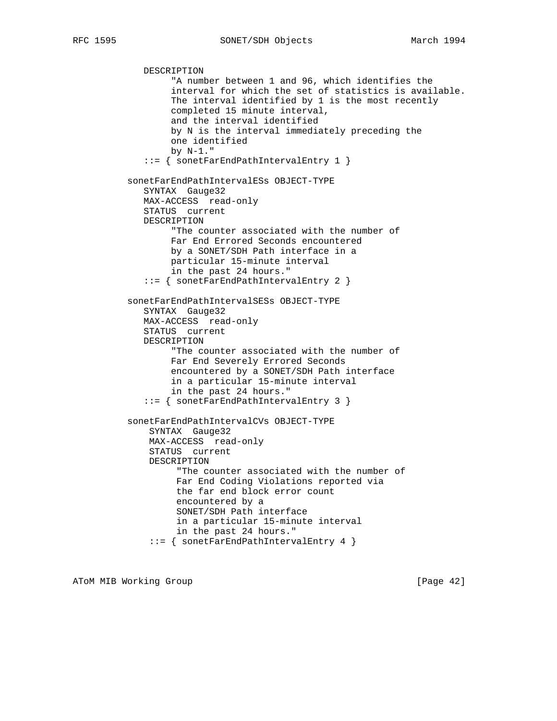DESCRIPTION "A number between 1 and 96, which identifies the interval for which the set of statistics is available. The interval identified by 1 is the most recently completed 15 minute interval, and the interval identified by N is the interval immediately preceding the one identified by N-1." ::= { sonetFarEndPathIntervalEntry 1 } sonetFarEndPathIntervalESs OBJECT-TYPE SYNTAX Gauge32 MAX-ACCESS read-only STATUS current DESCRIPTION "The counter associated with the number of Far End Errored Seconds encountered by a SONET/SDH Path interface in a particular 15-minute interval in the past 24 hours." ::= { sonetFarEndPathIntervalEntry 2 } sonetFarEndPathIntervalSESs OBJECT-TYPE SYNTAX Gauge32 MAX-ACCESS read-only STATUS current DESCRIPTION "The counter associated with the number of Far End Severely Errored Seconds encountered by a SONET/SDH Path interface in a particular 15-minute interval in the past 24 hours." ::= { sonetFarEndPathIntervalEntry 3 } sonetFarEndPathIntervalCVs OBJECT-TYPE SYNTAX Gauge32 MAX-ACCESS read-only STATUS current DESCRIPTION "The counter associated with the number of Far End Coding Violations reported via the far end block error count encountered by a SONET/SDH Path interface in a particular 15-minute interval in the past 24 hours." ::= { sonetFarEndPathIntervalEntry 4 }

ATOM MIB Working Group **Example 2018** [Page 42]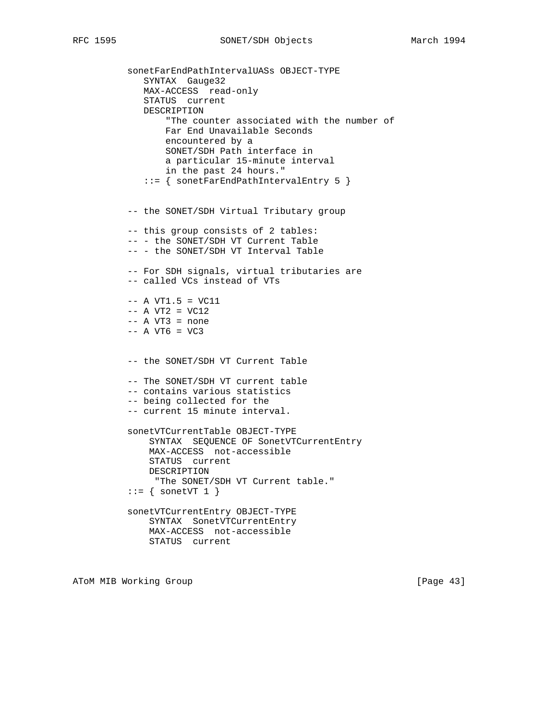sonetFarEndPathIntervalUASs OBJECT-TYPE SYNTAX Gauge32 MAX-ACCESS read-only STATUS current DESCRIPTION "The counter associated with the number of Far End Unavailable Seconds encountered by a SONET/SDH Path interface in a particular 15-minute interval in the past 24 hours." ::= { sonetFarEndPathIntervalEntry 5 } -- the SONET/SDH Virtual Tributary group -- this group consists of 2 tables: -- - the SONET/SDH VT Current Table -- - the SONET/SDH VT Interval Table -- For SDH signals, virtual tributaries are -- called VCs instead of VTs  $-- A VT1.5 = VC11$  $--$  A VT2 = VC12  $-- A VT3 = none$  $--$  A VT6 = VC3 -- the SONET/SDH VT Current Table -- The SONET/SDH VT current table -- contains various statistics -- being collected for the -- current 15 minute interval. sonetVTCurrentTable OBJECT-TYPE SYNTAX SEQUENCE OF SonetVTCurrentEntry MAX-ACCESS not-accessible STATUS current DESCRIPTION "The SONET/SDH VT Current table."  $::=$  { sonetVT 1 } sonetVTCurrentEntry OBJECT-TYPE SYNTAX SonetVTCurrentEntry MAX-ACCESS not-accessible STATUS current

ATOM MIB Working Group **by the contract of the Contract of Contract Contract of Contract Contract Contract Oriental**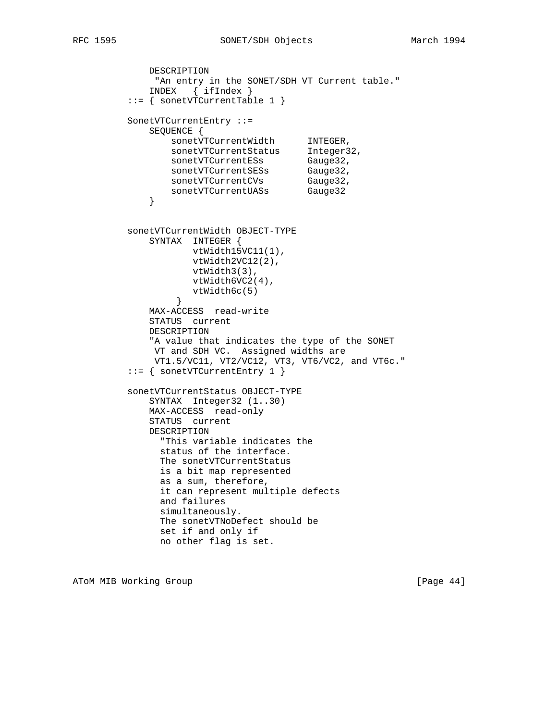```
 DESCRIPTION
             "An entry in the SONET/SDH VT Current table."
             INDEX { ifIndex }
         ::= { sonetVTCurrentTable 1 }
         SonetVTCurrentEntry ::=
             SEQUENCE {
sonetVTCurrentWidth INTEGER,
sonetVTCurrentStatus Integer32,
sonetVTCurrentESs Gauge32,
sonetVTCurrentSESs Gauge32,
sonetVTCurrentCVs Gauge32,
sonetVTCurrentUASs Gauge32
 }
         sonetVTCurrentWidth OBJECT-TYPE
            SYNTAX INTEGER {
                   vtWidth15VC11(1),
                   vtWidth2VC12(2),
                   vtWidth3(3),
                   vtWidth6VC2(4),
                vtWidth6c(5)<br>}
 }
             MAX-ACCESS read-write
             STATUS current
             DESCRIPTION
             "A value that indicates the type of the SONET
             VT and SDH VC. Assigned widths are
             VT1.5/VC11, VT2/VC12, VT3, VT6/VC2, and VT6c."
         ::= { sonetVTCurrentEntry 1 }
         sonetVTCurrentStatus OBJECT-TYPE
             SYNTAX Integer32 (1..30)
             MAX-ACCESS read-only
             STATUS current
             DESCRIPTION
              "This variable indicates the
              status of the interface.
              The sonetVTCurrentStatus
              is a bit map represented
              as a sum, therefore,
              it can represent multiple defects
              and failures
              simultaneously.
              The sonetVTNoDefect should be
              set if and only if
              no other flag is set.
```
ATOM MIB Working Group **and Community** [Page 44]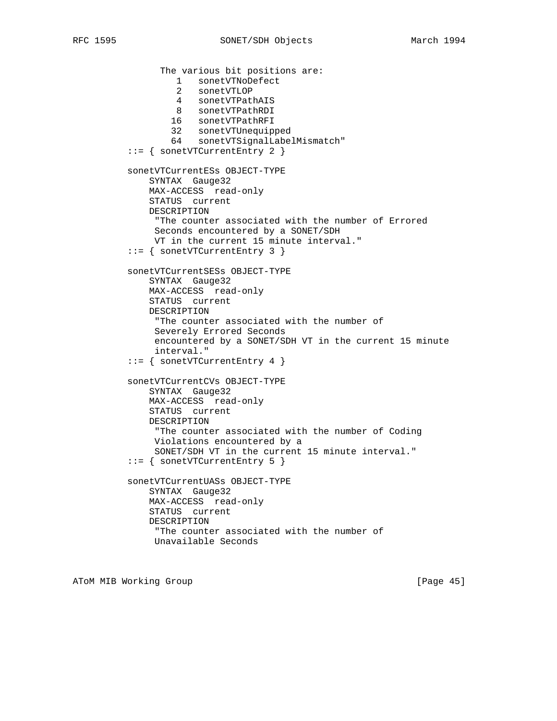The various bit positions are: 1 sonetVTNoDefect 2 sonetVTLOP 4 sonetVTPathAIS 8 sonetVTPathRDI 16 sonetVTPathRFI 32 sonetVTUnequipped 64 sonetVTSignalLabelMismatch" ::= { sonetVTCurrentEntry 2 } sonetVTCurrentESs OBJECT-TYPE SYNTAX Gauge32 MAX-ACCESS read-only STATUS current DESCRIPTION "The counter associated with the number of Errored Seconds encountered by a SONET/SDH VT in the current 15 minute interval." ::= { sonetVTCurrentEntry 3 } sonetVTCurrentSESs OBJECT-TYPE SYNTAX Gauge32 MAX-ACCESS read-only STATUS current DESCRIPTION "The counter associated with the number of Severely Errored Seconds encountered by a SONET/SDH VT in the current 15 minute interval." ::= { sonetVTCurrentEntry 4 } sonetVTCurrentCVs OBJECT-TYPE SYNTAX Gauge32 MAX-ACCESS read-only STATUS current DESCRIPTION "The counter associated with the number of Coding Violations encountered by a SONET/SDH VT in the current 15 minute interval." ::= { sonetVTCurrentEntry 5 } sonetVTCurrentUASs OBJECT-TYPE SYNTAX Gauge32 MAX-ACCESS read-only STATUS current DESCRIPTION "The counter associated with the number of Unavailable Seconds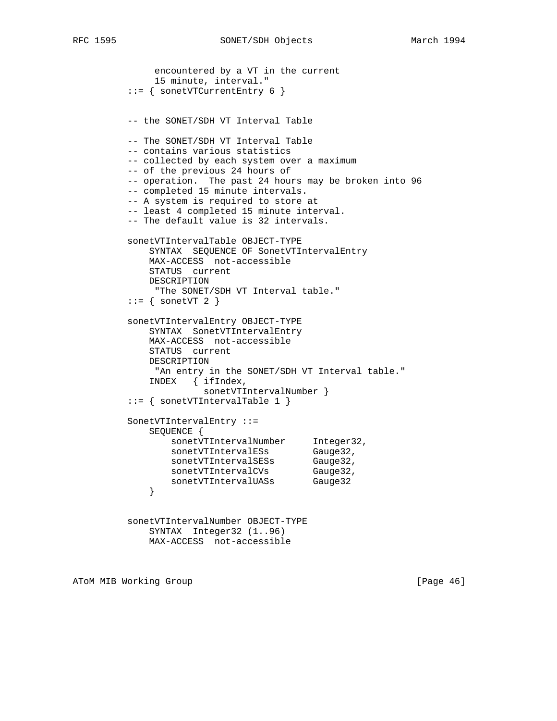```
 encountered by a VT in the current
              15 minute, interval."
          ::= { sonetVTCurrentEntry 6 }
         -- the SONET/SDH VT Interval Table
         -- The SONET/SDH VT Interval Table
         -- contains various statistics
         -- collected by each system over a maximum
         -- of the previous 24 hours of
         -- operation. The past 24 hours may be broken into 96
         -- completed 15 minute intervals.
         -- A system is required to store at
         -- least 4 completed 15 minute interval.
         -- The default value is 32 intervals.
         sonetVTIntervalTable OBJECT-TYPE
             SYNTAX SEQUENCE OF SonetVTIntervalEntry
             MAX-ACCESS not-accessible
             STATUS current
             DESCRIPTION
              "The SONET/SDH VT Interval table."
         ::= { sonetVT 2 }
         sonetVTIntervalEntry OBJECT-TYPE
             SYNTAX SonetVTIntervalEntry
             MAX-ACCESS not-accessible
             STATUS current
             DESCRIPTION
             "An entry in the SONET/SDH VT Interval table."
             INDEX { ifIndex,
                      sonetVTIntervalNumber }
          ::= { sonetVTIntervalTable 1 }
         SonetVTIntervalEntry ::=
             SEQUENCE {
sonetVTIntervalNumber Integer32,
sonetVTIntervalESs Gauge32,
sonetVTIntervalSESs Gauge32,
sonetVTIntervalCVs Gauge32,
 sonetVTIntervalUASs Gauge32
 }
          sonetVTIntervalNumber OBJECT-TYPE
             SYNTAX Integer32 (1..96)
             MAX-ACCESS not-accessible
```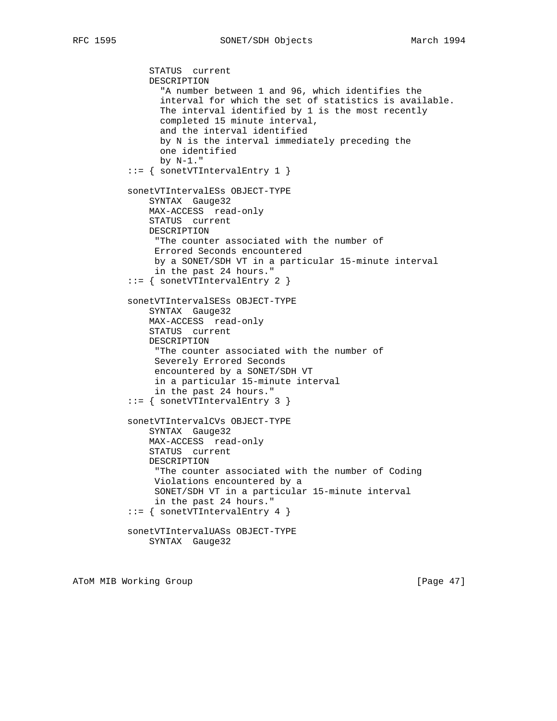STATUS current

 DESCRIPTION "A number between 1 and 96, which identifies the interval for which the set of statistics is available. The interval identified by 1 is the most recently completed 15 minute interval, and the interval identified by N is the interval immediately preceding the one identified by N-1." ::= { sonetVTIntervalEntry 1 } sonetVTIntervalESs OBJECT-TYPE SYNTAX Gauge32 MAX-ACCESS read-only STATUS current DESCRIPTION "The counter associated with the number of Errored Seconds encountered by a SONET/SDH VT in a particular 15-minute interval in the past 24 hours." ::= { sonetVTIntervalEntry 2 } sonetVTIntervalSESs OBJECT-TYPE SYNTAX Gauge32 MAX-ACCESS read-only STATUS current DESCRIPTION "The counter associated with the number of Severely Errored Seconds encountered by a SONET/SDH VT in a particular 15-minute interval in the past 24 hours." ::= { sonetVTIntervalEntry 3 } sonetVTIntervalCVs OBJECT-TYPE SYNTAX Gauge32 MAX-ACCESS read-only STATUS current DESCRIPTION "The counter associated with the number of Coding Violations encountered by a SONET/SDH VT in a particular 15-minute interval in the past 24 hours." ::= { sonetVTIntervalEntry 4 } sonetVTIntervalUASs OBJECT-TYPE SYNTAX Gauge32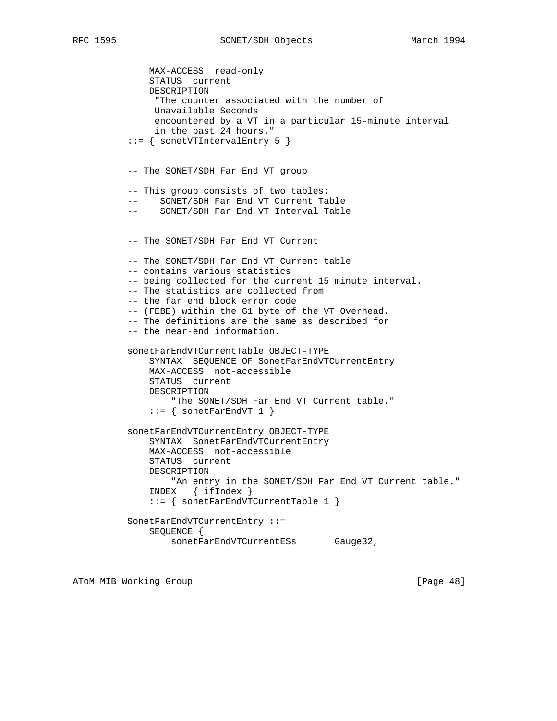```
 MAX-ACCESS read-only
     STATUS current
     DESCRIPTION
      "The counter associated with the number of
     Unavailable Seconds
      encountered by a VT in a particular 15-minute interval
     in the past 24 hours."
 ::= { sonetVTIntervalEntry 5 }
 -- The SONET/SDH Far End VT group
 -- This group consists of two tables:
   SONET/SDH Far End VT Current Table
 -- SONET/SDH Far End VT Interval Table
 -- The SONET/SDH Far End VT Current
 -- The SONET/SDH Far End VT Current table
 -- contains various statistics
 -- being collected for the current 15 minute interval.
 -- The statistics are collected from
 -- the far end block error code
 -- (FEBE) within the G1 byte of the VT Overhead.
 -- The definitions are the same as described for
 -- the near-end information.
 sonetFarEndVTCurrentTable OBJECT-TYPE
     SYNTAX SEQUENCE OF SonetFarEndVTCurrentEntry
    MAX-ACCESS not-accessible
    STATUS current
    DESCRIPTION
         "The SONET/SDH Far End VT Current table."
    ::= { sonetFarEndVT 1 }
 sonetFarEndVTCurrentEntry OBJECT-TYPE
     SYNTAX SonetFarEndVTCurrentEntry
     MAX-ACCESS not-accessible
     STATUS current
    DESCRIPTION
       "An entry in the SONET/SDH Far End VT Current table."
     INDEX { ifIndex }
     ::= { sonetFarEndVTCurrentTable 1 }
 SonetFarEndVTCurrentEntry ::=
     SEQUENCE {
        sonetFarEndVTCurrentESs Gauge32,
```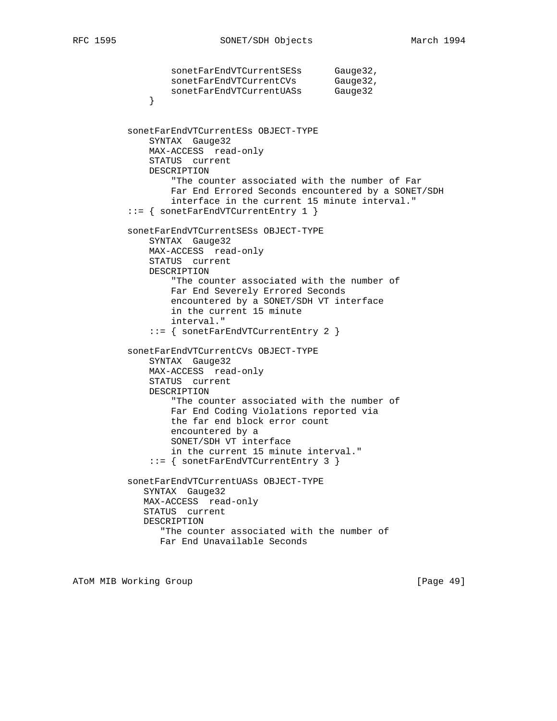```
sonetFarEndVTCurrentSESs    Gauge32,
sonetFarEndVTCurrentCVs Gauge32,
 sonetFarEndVTCurrentUASs Gauge32
 }
          sonetFarEndVTCurrentESs OBJECT-TYPE
              SYNTAX Gauge32
              MAX-ACCESS read-only
              STATUS current
              DESCRIPTION
                  "The counter associated with the number of Far
                 Far End Errored Seconds encountered by a SONET/SDH
                 interface in the current 15 minute interval."
          ::= { sonetFarEndVTCurrentEntry 1 }
          sonetFarEndVTCurrentSESs OBJECT-TYPE
              SYNTAX Gauge32
              MAX-ACCESS read-only
              STATUS current
              DESCRIPTION
                  "The counter associated with the number of
                 Far End Severely Errored Seconds
                 encountered by a SONET/SDH VT interface
                 in the current 15 minute
                  interval."
              ::= { sonetFarEndVTCurrentEntry 2 }
          sonetFarEndVTCurrentCVs OBJECT-TYPE
              SYNTAX Gauge32
              MAX-ACCESS read-only
              STATUS current
              DESCRIPTION
                  "The counter associated with the number of
                  Far End Coding Violations reported via
                 the far end block error count
                 encountered by a
                  SONET/SDH VT interface
                  in the current 15 minute interval."
              ::= { sonetFarEndVTCurrentEntry 3 }
          sonetFarEndVTCurrentUASs OBJECT-TYPE
             SYNTAX Gauge32
             MAX-ACCESS read-only
             STATUS current
             DESCRIPTION
                "The counter associated with the number of
                Far End Unavailable Seconds
```
ATOM MIB Working Group **and Community** [Page 49]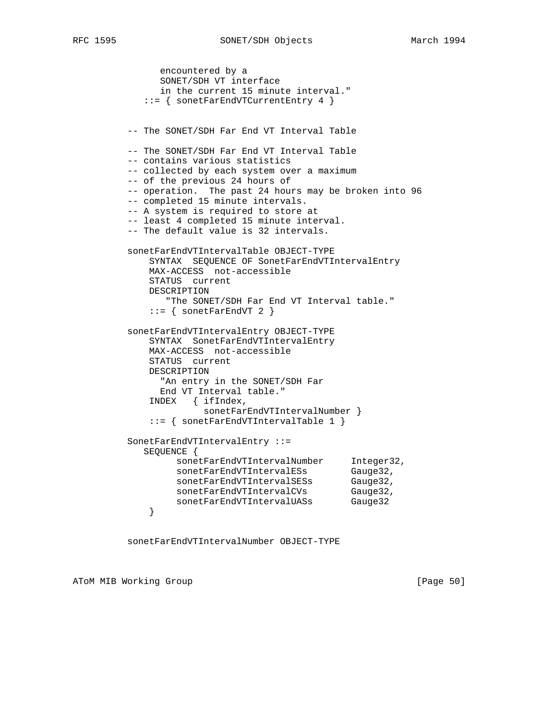encountered by a SONET/SDH VT interface in the current 15 minute interval." ::= { sonetFarEndVTCurrentEntry 4 } -- The SONET/SDH Far End VT Interval Table -- The SONET/SDH Far End VT Interval Table -- contains various statistics -- collected by each system over a maximum -- of the previous 24 hours of -- operation. The past 24 hours may be broken into 96 -- completed 15 minute intervals. -- A system is required to store at -- least 4 completed 15 minute interval. -- The default value is 32 intervals. sonetFarEndVTIntervalTable OBJECT-TYPE SYNTAX SEQUENCE OF SonetFarEndVTIntervalEntry MAX-ACCESS not-accessible STATUS current DESCRIPTION "The SONET/SDH Far End VT Interval table."  $::=$  { sonetFarEndVT 2 } sonetFarEndVTIntervalEntry OBJECT-TYPE SYNTAX SonetFarEndVTIntervalEntry MAX-ACCESS not-accessible STATUS current DESCRIPTION "An entry in the SONET/SDH Far End VT Interval table." INDEX { ifIndex, sonetFarEndVTIntervalNumber } ::= { sonetFarEndVTIntervalTable 1 } SonetFarEndVTIntervalEntry ::= SEQUENCE { sonetFarEndVTIntervalNumber Integer32, sonetFarEndVTIntervalESs Gauge32, sonetFarEndVTIntervalSESs Gauge32, sonetFarEndVTIntervalCVs Gauge32, sonetFarEndVTIntervalUASs Gauge32 }

sonetFarEndVTIntervalNumber OBJECT-TYPE

ATOM MIB Working Group **Example 2018** [Page 50]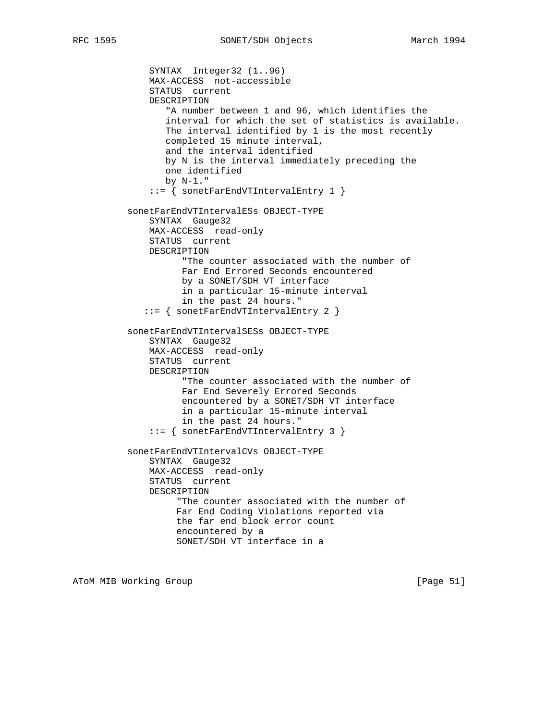```
 SYNTAX Integer32 (1..96)
     MAX-ACCESS not-accessible
     STATUS current
     DESCRIPTION
        "A number between 1 and 96, which identifies the
        interval for which the set of statistics is available.
        The interval identified by 1 is the most recently
        completed 15 minute interval,
        and the interval identified
        by N is the interval immediately preceding the
        one identified
       by N-1."
     ::= { sonetFarEndVTIntervalEntry 1 }
 sonetFarEndVTIntervalESs OBJECT-TYPE
     SYNTAX Gauge32
     MAX-ACCESS read-only
     STATUS current
     DESCRIPTION
           "The counter associated with the number of
           Far End Errored Seconds encountered
           by a SONET/SDH VT interface
           in a particular 15-minute interval
           in the past 24 hours."
    ::= { sonetFarEndVTIntervalEntry 2 }
 sonetFarEndVTIntervalSESs OBJECT-TYPE
     SYNTAX Gauge32
     MAX-ACCESS read-only
     STATUS current
     DESCRIPTION
           "The counter associated with the number of
           Far End Severely Errored Seconds
           encountered by a SONET/SDH VT interface
           in a particular 15-minute interval
           in the past 24 hours."
     ::= { sonetFarEndVTIntervalEntry 3 }
 sonetFarEndVTIntervalCVs OBJECT-TYPE
     SYNTAX Gauge32
     MAX-ACCESS read-only
     STATUS current
     DESCRIPTION
          "The counter associated with the number of
          Far End Coding Violations reported via
          the far end block error count
          encountered by a
          SONET/SDH VT interface in a
```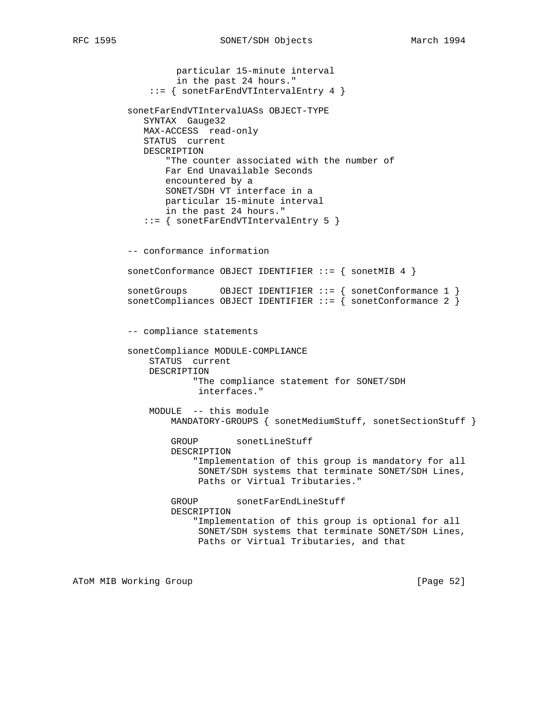```
 particular 15-minute interval
          in the past 24 hours."
     ::= { sonetFarEndVTIntervalEntry 4 }
 sonetFarEndVTIntervalUASs OBJECT-TYPE
   SYNTAX Gauge32
   MAX-ACCESS read-only
    STATUS current
    DESCRIPTION
        "The counter associated with the number of
        Far End Unavailable Seconds
        encountered by a
        SONET/SDH VT interface in a
        particular 15-minute interval
        in the past 24 hours."
    ::= { sonetFarEndVTIntervalEntry 5 }
 -- conformance information
sonetConformance OBJECT IDENTIFIER ::= { sonetMIB 4 }
 sonetGroups OBJECT IDENTIFIER ::= { sonetConformance 1 }
sonetCompliances OBJECT IDENTIFIER ::= \{ sonetConformance 2 \} -- compliance statements
 sonetCompliance MODULE-COMPLIANCE
     STATUS current
     DESCRIPTION
             "The compliance statement for SONET/SDH
             interfaces."
     MODULE -- this module
        MANDATORY-GROUPS { sonetMediumStuff, sonetSectionStuff }
        GROUP sonetLineStuff
         DESCRIPTION
             "Implementation of this group is mandatory for all
              SONET/SDH systems that terminate SONET/SDH Lines,
              Paths or Virtual Tributaries."
         GROUP sonetFarEndLineStuff
         DESCRIPTION
             "Implementation of this group is optional for all
             SONET/SDH systems that terminate SONET/SDH Lines,
             Paths or Virtual Tributaries, and that
```
ATOM MIB Working Group **by the contract of the Contract of Contract Contract Contract Oriental** [Page 52]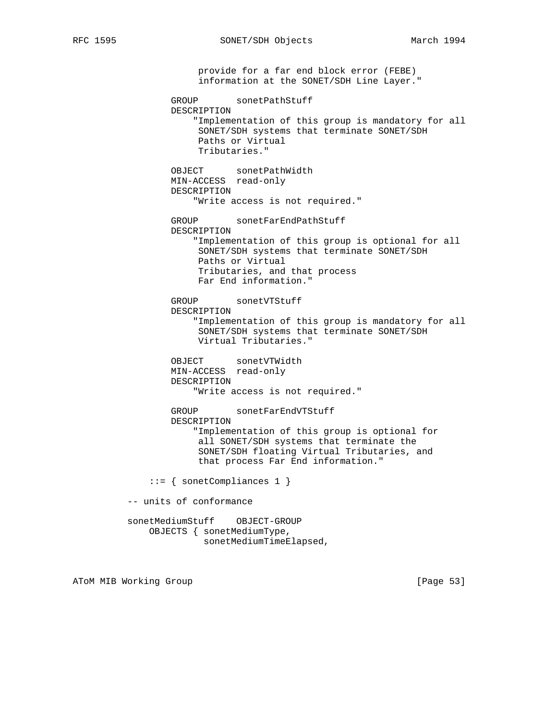provide for a far end block error (FEBE) information at the SONET/SDH Line Layer." GROUP sonetPathStuff DESCRIPTION "Implementation of this group is mandatory for all SONET/SDH systems that terminate SONET/SDH Paths or Virtual Tributaries." OBJECT sonetPathWidth MIN-ACCESS read-only DESCRIPTION "Write access is not required." GROUP sonetFarEndPathStuff DESCRIPTION "Implementation of this group is optional for all SONET/SDH systems that terminate SONET/SDH Paths or Virtual Tributaries, and that process Far End information." GROUP sonetVTStuff DESCRIPTION "Implementation of this group is mandatory for all SONET/SDH systems that terminate SONET/SDH Virtual Tributaries." OBJECT sonetVTWidth MIN-ACCESS read-only DESCRIPTION "Write access is not required." GROUP sonetFarEndVTStuff DESCRIPTION "Implementation of this group is optional for all SONET/SDH systems that terminate the SONET/SDH floating Virtual Tributaries, and that process Far End information." ::= { sonetCompliances 1 } -- units of conformance sonetMediumStuff OBJECT-GROUP OBJECTS { sonetMediumType, sonetMediumTimeElapsed,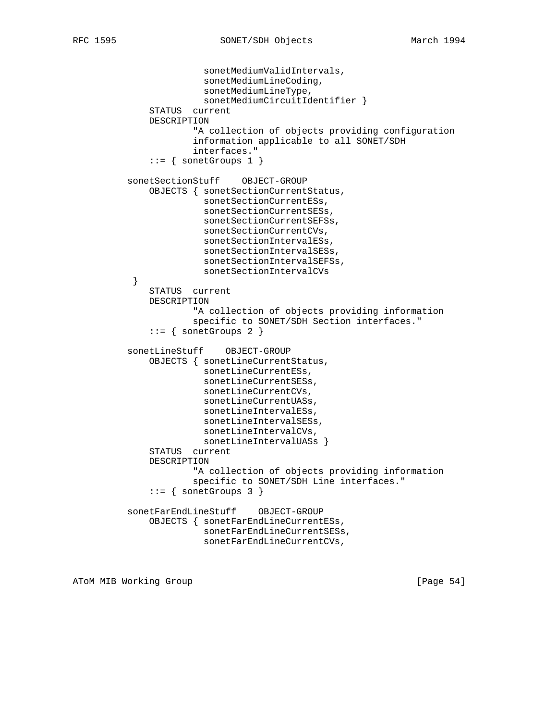```
 sonetMediumValidIntervals,
                         sonetMediumLineCoding,
                         sonetMediumLineType,
                         sonetMediumCircuitIdentifier }
               STATUS current
               DESCRIPTION
                       "A collection of objects providing configuration
                       information applicable to all SONET/SDH
                       interfaces."
              ::= { sonetGroups 1 }
           sonetSectionStuff OBJECT-GROUP
               OBJECTS { sonetSectionCurrentStatus,
                         sonetSectionCurrentESs,
                         sonetSectionCurrentSESs,
                         sonetSectionCurrentSEFSs,
                         sonetSectionCurrentCVs,
                         sonetSectionIntervalESs,
                         sonetSectionIntervalSESs,
                         sonetSectionIntervalSEFSs,
                         sonetSectionIntervalCVs
 }
               STATUS current
               DESCRIPTION
                       "A collection of objects providing information
                       specific to SONET/SDH Section interfaces."
              ::= { sonetGroups 2 }
           sonetLineStuff OBJECT-GROUP
               OBJECTS { sonetLineCurrentStatus,
                         sonetLineCurrentESs,
                         sonetLineCurrentSESs,
                         sonetLineCurrentCVs,
                         sonetLineCurrentUASs,
                         sonetLineIntervalESs,
                         sonetLineIntervalSESs,
                         sonetLineIntervalCVs,
                        sonetLineIntervalUASs }
               STATUS current
               DESCRIPTION
                       "A collection of objects providing information
                       specific to SONET/SDH Line interfaces."
              ::= { sonetGroups 3 }
           sonetFarEndLineStuff OBJECT-GROUP
               OBJECTS { sonetFarEndLineCurrentESs,
                         sonetFarEndLineCurrentSESs,
                         sonetFarEndLineCurrentCVs,
```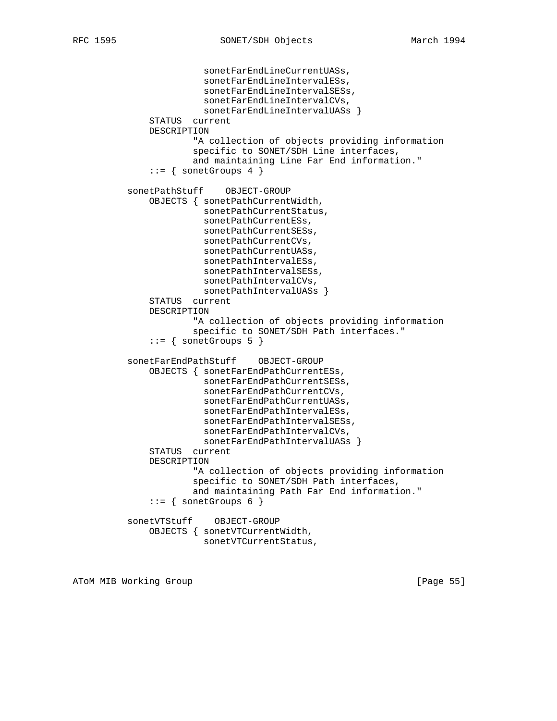```
 sonetFarEndLineCurrentUASs,
               sonetFarEndLineIntervalESs,
               sonetFarEndLineIntervalSESs,
               sonetFarEndLineIntervalCVs,
               sonetFarEndLineIntervalUASs }
     STATUS current
     DESCRIPTION
             "A collection of objects providing information
             specific to SONET/SDH Line interfaces,
             and maintaining Line Far End information."
    ::= { sonetGroups 4 }
 sonetPathStuff OBJECT-GROUP
     OBJECTS { sonetPathCurrentWidth,
               sonetPathCurrentStatus,
               sonetPathCurrentESs,
               sonetPathCurrentSESs,
               sonetPathCurrentCVs,
               sonetPathCurrentUASs,
               sonetPathIntervalESs,
               sonetPathIntervalSESs,
               sonetPathIntervalCVs,
              sonetPathIntervalUASs }
     STATUS current
     DESCRIPTION
             "A collection of objects providing information
             specific to SONET/SDH Path interfaces."
    ::= { sonetGroups 5 }
 sonetFarEndPathStuff OBJECT-GROUP
     OBJECTS { sonetFarEndPathCurrentESs,
               sonetFarEndPathCurrentSESs,
               sonetFarEndPathCurrentCVs,
               sonetFarEndPathCurrentUASs,
               sonetFarEndPathIntervalESs,
               sonetFarEndPathIntervalSESs,
               sonetFarEndPathIntervalCVs,
               sonetFarEndPathIntervalUASs }
     STATUS current
     DESCRIPTION
             "A collection of objects providing information
             specific to SONET/SDH Path interfaces,
             and maintaining Path Far End information."
    ::= { sonetGroups 6 }
 sonetVTStuff OBJECT-GROUP
     OBJECTS { sonetVTCurrentWidth,
               sonetVTCurrentStatus,
```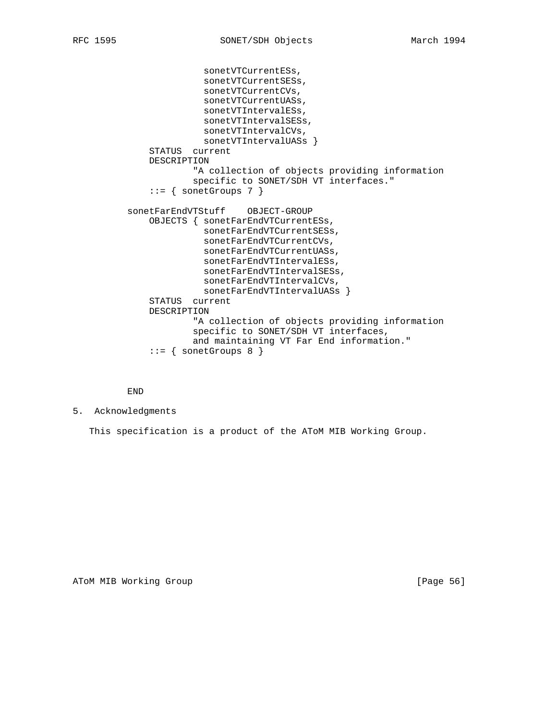```
 sonetVTCurrentESs,
               sonetVTCurrentSESs,
               sonetVTCurrentCVs,
               sonetVTCurrentUASs,
               sonetVTIntervalESs,
               sonetVTIntervalSESs,
               sonetVTIntervalCVs,
              sonetVTIntervalUASs }
     STATUS current
     DESCRIPTION
             "A collection of objects providing information
             specific to SONET/SDH VT interfaces."
     ::= { sonetGroups 7 }
 sonetFarEndVTStuff OBJECT-GROUP
     OBJECTS { sonetFarEndVTCurrentESs,
               sonetFarEndVTCurrentSESs,
               sonetFarEndVTCurrentCVs,
               sonetFarEndVTCurrentUASs,
               sonetFarEndVTIntervalESs,
               sonetFarEndVTIntervalSESs,
               sonetFarEndVTIntervalCVs,
              sonetFarEndVTIntervalUASs }
     STATUS current
     DESCRIPTION
             "A collection of objects providing information
             specific to SONET/SDH VT interfaces,
             and maintaining VT Far End information."
     ::= { sonetGroups 8 }
```
END

5. Acknowledgments

This specification is a product of the AToM MIB Working Group.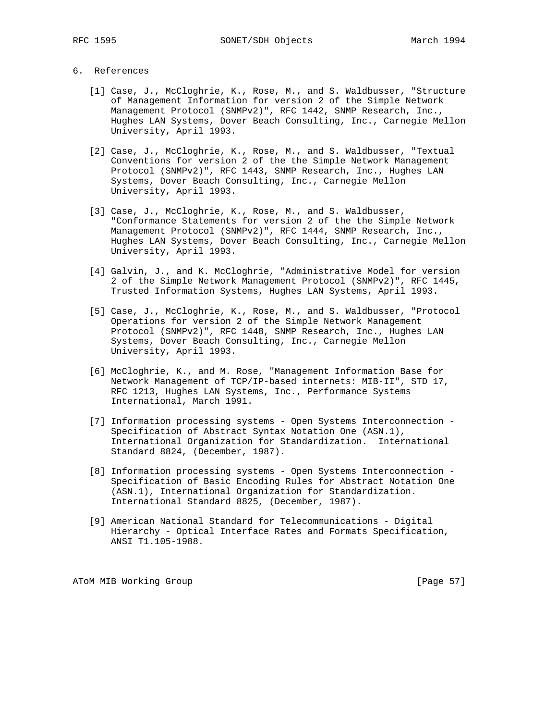## 6. References

- [1] Case, J., McCloghrie, K., Rose, M., and S. Waldbusser, "Structure of Management Information for version 2 of the Simple Network Management Protocol (SNMPv2)", RFC 1442, SNMP Research, Inc., Hughes LAN Systems, Dover Beach Consulting, Inc., Carnegie Mellon University, April 1993.
- [2] Case, J., McCloghrie, K., Rose, M., and S. Waldbusser, "Textual Conventions for version 2 of the the Simple Network Management Protocol (SNMPv2)", RFC 1443, SNMP Research, Inc., Hughes LAN Systems, Dover Beach Consulting, Inc., Carnegie Mellon University, April 1993.
- [3] Case, J., McCloghrie, K., Rose, M., and S. Waldbusser, "Conformance Statements for version 2 of the the Simple Network Management Protocol (SNMPv2)", RFC 1444, SNMP Research, Inc., Hughes LAN Systems, Dover Beach Consulting, Inc., Carnegie Mellon University, April 1993.
- [4] Galvin, J., and K. McCloghrie, "Administrative Model for version 2 of the Simple Network Management Protocol (SNMPv2)", RFC 1445, Trusted Information Systems, Hughes LAN Systems, April 1993.
- [5] Case, J., McCloghrie, K., Rose, M., and S. Waldbusser, "Protocol Operations for version 2 of the Simple Network Management Protocol (SNMPv2)", RFC 1448, SNMP Research, Inc., Hughes LAN Systems, Dover Beach Consulting, Inc., Carnegie Mellon University, April 1993.
- [6] McCloghrie, K., and M. Rose, "Management Information Base for Network Management of TCP/IP-based internets: MIB-II", STD 17, RFC 1213, Hughes LAN Systems, Inc., Performance Systems International, March 1991.
- [7] Information processing systems Open Systems Interconnection Specification of Abstract Syntax Notation One (ASN.1), International Organization for Standardization. International Standard 8824, (December, 1987).
- [8] Information processing systems Open Systems Interconnection Specification of Basic Encoding Rules for Abstract Notation One (ASN.1), International Organization for Standardization. International Standard 8825, (December, 1987).
- [9] American National Standard for Telecommunications Digital Hierarchy - Optical Interface Rates and Formats Specification, ANSI T1.105-1988.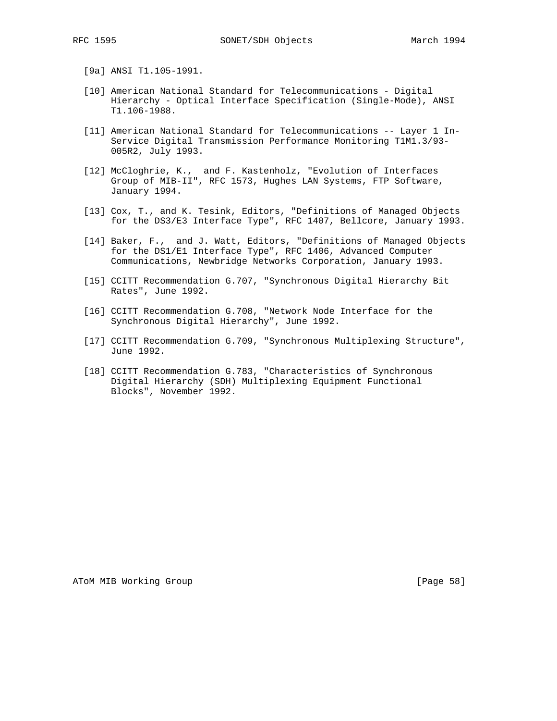- [9a] ANSI T1.105-1991.
- [10] American National Standard for Telecommunications Digital Hierarchy - Optical Interface Specification (Single-Mode), ANSI T1.106-1988.
- [11] American National Standard for Telecommunications -- Layer 1 In- Service Digital Transmission Performance Monitoring T1M1.3/93- 005R2, July 1993.
- [12] McCloghrie, K., and F. Kastenholz, "Evolution of Interfaces Group of MIB-II", RFC 1573, Hughes LAN Systems, FTP Software, January 1994.
- [13] Cox, T., and K. Tesink, Editors, "Definitions of Managed Objects for the DS3/E3 Interface Type", RFC 1407, Bellcore, January 1993.
- [14] Baker, F., and J. Watt, Editors, "Definitions of Managed Objects for the DS1/E1 Interface Type", RFC 1406, Advanced Computer Communications, Newbridge Networks Corporation, January 1993.
- [15] CCITT Recommendation G.707, "Synchronous Digital Hierarchy Bit Rates", June 1992.
- [16] CCITT Recommendation G.708, "Network Node Interface for the Synchronous Digital Hierarchy", June 1992.
- [17] CCITT Recommendation G.709, "Synchronous Multiplexing Structure", June 1992.
- [18] CCITT Recommendation G.783, "Characteristics of Synchronous Digital Hierarchy (SDH) Multiplexing Equipment Functional Blocks", November 1992.